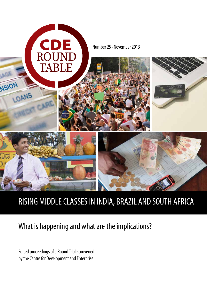

# What is happening and what are the implications?

Edited proceedings of a Round Table convened by the Centre for Development and Enterprise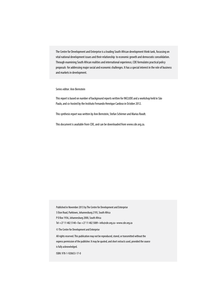The Centre for Development and Enterprise is a leading South African development think tank, focussing on vital national development issues and their relationship to economic growth and democratic consolidation. Through examining South African realities and international experience, CDE formulates practical policy proposals for addressing major social and economic challenges. It has a special interest in the role of business and markets in development.

Series editor: Ann Bernstein

This report is based on number of background reports written for INCLUDE and a workshop held in São Paulo, and co-hosted by the Instituto Fernando Henrique Cardoso in October 2012.

This synthesis report was written by Ann Bernstein, Stefan Schirmer and Marius Roodt.

This document is available from CDE, and can be downloaded from www.cde.org.za.

Published in November 2013 by The Centre for Development and Enterprise

5 Eton Road, Parktown, Johannesburg 2193, South Africa

P O Box 1936, Johannesburg 2000, South Africa

Tel +27 11 482 5140 • Fax +27 11 482 5089 • info@cde.org.za • www.cde.org.za

© The Centre for Development and Enterprise

All rights reserved. This publication may not be reproduced, stored, or transmitted without the express permission of the publisher. It may be quoted, and short extracts used, provided the source is fully acknowledged.

ISBN: 978-1-920653-17-0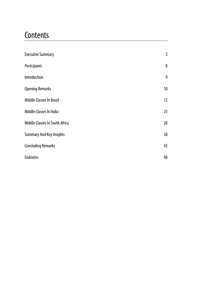# **Contents**

| <b>Executive Summary</b>        | $\overline{2}$  |
|---------------------------------|-----------------|
| Participants                    | 8               |
| Introduction                    | 9               |
| <b>Opening Remarks</b>          | 10 <sup>°</sup> |
| <b>Middle Classes In Brazil</b> | 12              |
| Middle Classes In India         | 23              |
| Middle Classes In South Africa  | 28              |
| <b>Summary And Key Insights</b> | 38              |
| <b>Concluding Remarks</b>       | 43              |
| <b>Endnotes</b>                 | 48              |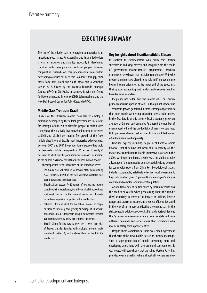# **EXECUTIVE SUMMARY**

The rise of the middle class in emerging democracies is an important global issue. An expanding and large middle class is vital for inclusion and stability, especially in developing countries with many poor and excluded people. However, comparative research on this phenomenon from within developing countries has been rare. To address this gap, think tanks from India, Brazil and South Africa held a workshop late in 2012, hosted by the Instituto Fernando Henrique Cardoso (iFHC) in São Paulo, in partnership with the Centre for Development and Enterprise (CDE), Johannesburg, and the New Delhi-based Centre for Policy Research (CPR).

#### **Middle Class Trends in Brazil**

Studies of the Brazilian middle class largely employ a definition developed by the federal government's Secretariat for Strategic Affairs, which classifies people as middle class if they have the relatively low household income of between US\$161 and US\$564 per month. The growth of this 'new middle class' is one of Brazil's most impressive achievements. Between 2001 and 2011 the proportion of people that could be classified as middle class grew from 35 per cent to nearly 50 per cent. In 2011 Brazil's population was almost 197 million, so the middle class now consists of nearly 98 million people.

Other important trends identified at the workshop were:

- The middle class will make up 57 per cent of the population by 2022. However, growth of the class will slow as middle class people advance to the upper class.
- Black Brazilians account for 80 per cent of new entrants into the class. People from rural areas, from the relatively impoverished north-east, workers in the informal sector and domestic servants are a growing proportion of the middle class.
- Between 2001 and 2011 the household income of people classified as extremely poor grew by an average of 14 per cent per annum. Incomes for people living in households classified as upper class grew by only 2 per cent over the period.
- Brazil's falling fertility rate is now 1,9 lower than that of France. Smaller families with multiple incomes make households better off, which allows them to rise into the middle class.

#### **Key Insights about Brazilian Middle Classes**

In contrast to commentators who claim that Brazil's successes in reducing poverty and inequality are the result of government income-transfer programmes, Brazilian economists have shown that this is far from the case. While the modest transfers have played some role in lifting people into higher income categories at the lower end of the spectrum, the impact of economic growth and access to employment has been far more important.

Inequality has fallen and the middle class has grown primarily because a period of solid – although not spectacular – economic growth generated income-earning opportunities that poor people with rising education levels could access. In the first decade of this century Brazil's economy grew, on average, at 3,6 per cent annually. As a result the number of unemployed fell and the productivity of many workers rose. Both processes allowed real incomes to rise and lifted almost 40 million people out of poverty.

Brazilian experts, including ex-president Cardoso, admit however that they have not been able to identify all the factors that contributed to Brazil's impressive successes in the 2000s. An important factor, clearly, was the ability to take advantage of the commodity boom, especially rising demand for commodity exports from China. Possible additional factors include accountable, relatively effective local government, high urbanisation (over 85 per cent) and employers' ability to work around complex labour market regulations.

An additional note of caution raised by Brazilian experts was the need to be careful when generalising about this 'middle class', especially in terms of its impact on politics. Diverse ranges and sources of income and a variety of identities stand in the way of this group constituting a coherent class in the strict sense. In addition, sociologist Bernardo Sorj pointed out that 'a person who receives a salary from the state will have different demands and expectations than somebody who receives a salary from a private entity'.

Despite these complexities, there was broad agreement that the rise of this 'new middle class' is an important change. Such a large proportion of people consuming more and developing aspirations will have profound consequences. It was noted, with some irony, that the ruling Workers Party has presided over a situation where almost all workers are now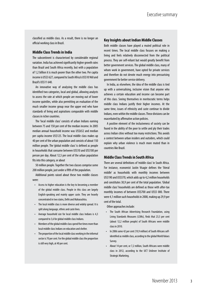classified as middle class. As a result, there is no longer an official working class in Brazil.

#### **Middle Class Trends in India**

The subcontinent is characterised by considerable regional variation. India has achieved significantly higher growth rates than Brazil and South Africa recently, but with a population of 1,2 billion it is much poorer than the other two. Per capita income is US\$3 627, compared to South Africa's US\$10 960 and Brazil's US\$11 640.

An innovative way of analysing the middle class has identified two categories, local and global, allowing analysts to assess the rate at which people are moving out of lower income quintiles, while also permitting an evaluation of the much smaller income group near the upper end who have standards of living and aspirations comparable with middle classes in richer countries.

The 'local middle class' consists of urban Indians earning between 75 and 150 per cent of the median income. In 2005 median annual household income was US\$652 and median per capita income US\$125. The local middle class makes up 40 per cent of the urban population and consists of about 150 million people. The 'global middle class' is defined as people in households that consume between US\$10 and US\$100 per person per day. About 12,5 per cent of the urban population fits into this category, or about

50 million people. Together the two classes comprise some 200 million people, just under a fifth of the population.

Additional points raised about these two middle classes were:

- Access to higher education is the key to becoming a member of the global middle class. People in this class are largely English-speaking and mainly upper caste. They are heavily concentrated in two states, Delhi and Maharashtra.
- The local middle class is more diverse and widely spread. It is split along language, ethnic and caste lines.
- Average household size for local middle class Indians is 4,3 compared to 3,6 for global middle class Indians.
- Members of the global middle class spend five times more than local middle class Indians on education and shelter.
- The proportion of the local middle class working in the informal sector is 70 per cent. For the global middle class the proportion is still very high, at 40 per cent.

#### **Key Insights about Indian Middle Classes**

Both middle classes have played a muted political role in recent times. The local middle class focuses on making a living and feels relatively disconnected from the political process. They are self-reliant but would greatly benefit from better government services. The global middle class, many of whom work in government, have opted for private services and therefore do not devote much energy into pressurising government for better service delivery.

In India, as elsewhere, the idea of the middle class is tied up with a universalising, inclusive vision that anyone who achieves a certain education and income can become part of this class. Seeing themselves in meritocratic terms helps middle class Indians justify their higher incomes. At the same time, issues of ethnicity and caste continue to divide Indians, even within the middle classes. These divisions can be exacerbated by affirmative action policies.

A positive element of the inclusiveness of society can be found in the ability of the poor to settle and ply their trades across Indian cities without too many restrictions. This avoids a contest between urban insiders and outsiders, which could explain why urban violence is much more muted than in countries like Brazil.

#### **Middle Class Trends in South Africa**

There are several definitions of 'middle class' in South Africa. For instance, economist Justin Visagie defines the 'literal middle' as households with monthly incomes between US\$190 and US\$570, which adds up to 4,2 million households and constitutes 30,9 per cent of the total population. 'Global middle class' households are defined as those with after-tax monthly incomes of between US\$700 and US\$5 000. There were 4,1 million such households in 2008, making up 29,9 per cent of the total.

Other approaches include:

- The South African Advertising Research Foundation, using Living Standards Measures (LSMs), finds that 23,5 per cent (about 12,2 million people) of South Africans were middle class in 2010.
- In 2006 some 42 per cent (19,9 million) of South Africans selfidentified as middle class, according to the global World Values Survey.
- About 14 per cent, or 7,2 million, South Africans were middle class in 2012, according to the UCT Unilever Institute of Strategic Marketing.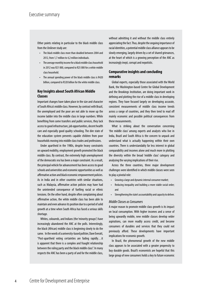Other points relating in particular to the black middle class from the Unilever study are:

- The black middle class more than doubled between 2004 and 2012, from 1,7 million to 4,2 million individuals.
- The average monthly income for a black middle class household in 2012 was R21 000, compared to R25 000 for a white middle class household.
- The annual spending power of the black middle class is R420 billion, compared to R320 billion for the white middle class.

#### **Key Insights about South African Middle Classes**

Important changes have taken place in the size and character of South Africa's middle class. However, by contrast with Brazil, the unemployed and the poor are not able to move up the income ladder into the middle class in large numbers. While benefiting from some transfers and public services, they lack access to good infrastructure, job opportunities, decent health care and especially good quality schooling. The dire state of the education system prevents capable children from poor households moving into middle class trades and professions.

Under apartheid in the 1980s, despite heavy constraints on upward mobility, employment growth promoted the black middle class. By contrast, the extremely high unemployment of the democratic era has been a major constraint. As a result, the principal vehicle for advancement has been access to good schools and universities and economic opportunities as well as affirmative action and black economic empowerment policies. As in India and in other countries with similar situations, such as Malaysia, affirmative action policies may have had the unintended consequence of fuelling racial or ethnic tensions. On the other hand, despite often complaining about affirmative action, the white middle class has been able to maintain and even advance its position due to a period of solid growth at a time when South Africa has faced a serious skills shortage.

Whites, coloureds, and Indians (the 'minority groups') have increasingly abandoned the ANC at the polls. Interestingly, the black (African) middle class is beginning slowly to do the same. In the words of a university-based pollster, Dave Everatt, "Post-apartheid voting certainties are fading rapidly…it is apparent that there is a complex and fraught relationship between the ruling party and the black middle class". In many respects the ANC has been a party of and for the middle class,

without admitting it and without the middle class entirely appreciating the fact. Thus, despite the ongoing importance of racial identities, a potential middle class alliance appears to be slowly emerging, largely driven by a set of shared grievances, at the heart of which is a growing perception of the ANC as increasingly inept, corrupt and nepotistic.

#### **Comparative insights and concluding remarks**

Global experts, especially those associated with the World Bank, the Washington-based Centre for Global Development and the Brookings Institution, are doing important work in defining and plotting the rise of a middle class in developing regions. They have focused largely on developing accurate, consistent measurements of middle class income trends across a range of countries, and they then tend to read off mainly economic and possible political consequences from these measurements.

What is striking about the conversation concerning 'the middle class' among experts and analysts who live in India, Brazil and South Africa is the concern to unpack and understand what is actually happening within their own countries. There is understandably far less interest in global comparability and incomes alone and much more in plotting the diversity within the broad 'middle class' category and analysing the varying implications of their rise.

Across the three countries, three major development challenges were identified in which middle classes were seen to play a pivotal role:

- Growing a large and dynamic internal consumer market;
- Reducing inequality and building a more stable social order; and
- Strengthening the state's accountability and capacity to deliver.

#### *Middle Classes as Consumers*

A major reason to promote middle class growth is its impact on local consumption. With higher incomes and a sense of being upwardly mobile, new middle classes develop wider aspirations, can more readily access credit, and become consumers of durables and services that they could not previously afford. These developments have important implications for economic growth.

In Brazil, the phenomenal growth of the new middle class appears to be associated with a greater propensity to buy durable goods. Brazil's economists are hopeful that this large group of new consumers holds a key to future economic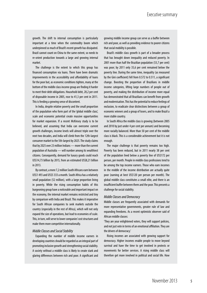growth. The shift to internal consumption is particularly important at a time when the commodity boom which underpinned so much of Brazil's recent growth has dissipated. Brazil cannot count on China to the same extent, so needs to re-orient production towards a large and growing internal market.

The challenge is the extent to which this group has financed consumption via loans. There have been dramatic improvements in the accessibility and affordability of loans for the poor but, as economic conditions tighten, many at the bottom of the middle class income group are finding it harder to meet their debt obligations. Household debt, 20,2 per cent of disposable income in 2005, rose to 41,3 per cent in 2011. This is feeding a growing sense of discontent.

In India, despite relative poverty and the small proportion of the population who form part of the 'global middle class', scale and economic potential create massive opportunities for market expansion. If a recent McKinsey study is to be believed, and assuming that India can overcome current growth challenges, income levels will almost triple over the next two decades, and India will climb from the 12th-largest consumer market to the 5th-largest by 2025. The study claims that by 2025 over 23 million Indians — more than the current population of Australia — will number among its wealthiest citizens. Consequently, demand for luxury goods could reach US\$14,73 billion by 2015, from an estimated US\$8,21 billion in 2013.

By contrast, a mere 7,2 million South Africans earn between US\$1 493 and US\$5 333 a month. South Africa has a relatively small population (52 million), with a large proportion living in poverty. While the rising consumption habits of this burgeoning group have a noticeable and important impact on the economy, the internal market remains restricted and tiny by comparison with India and Brazil. This makes it imperative for South African companies to seek markets outside the country (especially in the rest of Africa), which will not only expand the size of operations, but lead to economies of scale. This, in turn, will serve to lower companies' cost structures and make them more competitive internationally.

#### *Middle Classes and Social Stability*

Expanding the number of middle income earners in developing countries should be regarded as an integral part of promoting inclusive growth and strengthening social stability. A society without a middle class is likely to create stark and glaring differences between rich and poor. A significant and

growing middle income group can serve as a buffer between rich and poor, as well as providing evidence to poorer citizens that social mobility is possible.

Brazil's middle class growth is part of a broader process that has brought down inequality and reduced poverty. In 2001 more than half the Brazilian population (53,7 per cent) was poor; by 2011 only 35,6 per cent remained below the poverty line. During the same time, inequality (as measured by the Gini coefficient) fell from 0.572 to 0.511, a significant change. Boosting the proportion of Brazilians in middle income categories, lifting large numbers of people out of poverty, and making the distribution of income more equal has demonstrated that all Brazilians can benefit from growth and modernisation. This has the potential to reduce feelings of exclusion, to eradicate clear distinctions between a group of economic winners and a group of losers, and to make Brazil a more stable country.

In South Africa the middle class is growing (between 2005 and 2010 by just under 4 per cent per annum) and becoming more racially balanced. More than 50 per cent of the middle class is black. This is a considerable achievement but it is not enough.

The major challenge is that poverty remains too high. Poverty has been reduced, but in 2011 nearly 38 per cent of the population lived below a poverty line of US\$172 per person, per month. People in middle class professions tend to be among the top income earners. Those who earn incomes in the middle of the income distribution are actually quite poor (earning at best US\$120 per person per month). The global middle class constitutes a small elite, and there is an insufficient buffer between them and the poor. This presents a challenge for social stability.

#### *Middle Classes and Democracy*

Middle classes are frequently associated with demands for more representative governments, greater rule of law and expanding freedoms. As a recent optimistic observer said of African middle classes:

'They are your enlightened voters, they will support policies, and not just vote in terms of an emotional affiliation. They are the drivers of democracy.'

Rising incomes are associated with growing support for democracy. Higher incomes enable people to move beyond survival and have the time to get involved in protests or movements for better services. A rising middle class will therefore get more involved in political and social life. How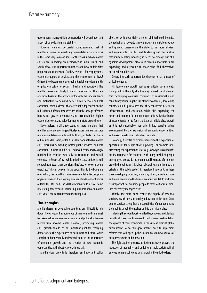governments manage this in democracies will be an important aspect of consolidation and stability.

However, we must be careful about assuming that all middle classes will automatically demand democratic reforms in the same way. To make sense of the ways in which middle classes are impacting on democracy in India, Brazil, and South Africa, it is important to understand how middle class people relate to the state. Do they rely on it for employment, economic support or services, and the enforcement of laws? Or have they become more self-reliant, relying predominantly on private provision of security, health, and education? The middle classes most likely to impact positively on the state are those based in the private sector with the independence and motivation to demand better public services and less corruption. Middle classes that are wholly dependent on the redistribution of state resources are unlikely to wage effective battles for greater democracy and accountability, higher economic growth, and value for money in state expenditure.

Nevertheless, in all three countries there are signs that middle classes are exerting political pressure to make the state more accountable and efficient. In Brazil, protests that broke out in June 2013 were, at least initially, dominated by middle class Brazilians demanding better public services, and less corruption. In India, middle classes have become increasingly mobilised in relation especially to corruption and sexual violence. In South Africa, while middle class politics is still somewhat muted, there are signs that 'greater voice' is being exercised. This can be seen in the opposition to the bungling of e-tolling, the growth of non-governmental anti-corruption organisations and the growing number of independent voices outside the ANC fold. The 2014 elections could deliver some interesting new trends as increasing numbers of black middle class voters seek alternatives to the ruling ANC.

#### **Final thoughts**

Middle classes in developing countries are difficult to pin down. The category has numerous dimensions and care must be taken before we assume economic and political outcomes merely from income levels. However, promoting middle class growth should be an important goal for emerging democracies. The experiences of both India and Brazil, while complex and not yet fully understood, point to the importance of economic growth and the creation of new economic opportunities as the best way to achieve this.

Middle class growth is therefore an important policy

objective with potentially a series of interlinked benefits: the reduction of poverty, a more inclusive and stable society, and growing pressure on the state to be more efficient and accountable. For this middle class growth to produce maximum benefits, however, it needs to emerge out of a dynamic development process in which opportunities are expanding and accessible to those who find themselves outside the middle class.

Generating such opportunities depends on a number of critical elements.

Firstly, economic growth must be a priority for governments. High growth is the only effective way to meet the challenges that developing countries confront. By substantially and consistently increasing the size of their economies, developing countries build up resources that they can invest in services, infrastructure, and education, while also expanding the range and quality of economic opportunities. Redistribution of income tends not to form the basis of middle class growth as it is not sustainable; has only limited benefits unless accompanied by the expansion of economic opportunities; and makes beneficiaries reliant on the state.

Secondly, it is vital to remove barriers to the expansion of opportunities for people stuck in poverty. For example, laws preventing the expansion of relatively low wage, unskilled jobs are inappropriate for countries with many unskilled people unemployed or outside the job market. The nature of economic growth (i.e. whether it is labour absorbing and driven by the private or the public sector) is therefore important. In these three developing countries, and many others, absorbing more and more people into the formal economy is vital. In addition, it is important to encourage people to move out of rural areas into effectively managed cities.

Thirdly, the state must ensure the supply of essential services, healthcare, and quality education to the poor. Good quality services strengthen the capabilities of poor people and their ability to pull themselves up into the middle class.

In laying the groundwork for effective, ongoing middle class growth, all three countries need to find ways of re-stimulating the growth of their economies in the current difficult global environment. To do this, governments need to implement reforms that will open up their economies to new sources of entrepreneurship and innovation.

The fight against poverty, achieving inclusive growth, the reduction of inequality, and building a stable society will all emerge from pursuing one goal: growing the middle class.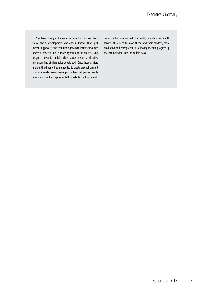Prioritising this goal brings about a shift in how countries think about development challenges. Rather than just measuring poverty and then finding ways to increase incomes above a poverty line, a more dynamic focus on assessing progress towards middle class status needs a detailed understanding of what holds people back. Once these barriers are identified, remedies are needed to create an environment which generates accessible opportunities that poorer people are able and willing to pursue. Additional interventions should

ensure that all have access to the quality education and health services they need to make them, and their children, more productive and entrepreneurial, allowing them to progress up the income ladder into the middle class.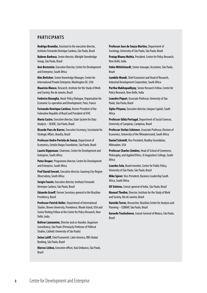### **PARTICIPANTS**

**Rodrigo Brandão**, Assistant to the executive director, Instituto Fernando Henrique Cardoso, São Paulo, Brazil

**Rubens Barbosa**, Senior director, Albright Stonebridge Group, São Paulo, Brazil

**Ann Bernstein**, Executive Director, Centre for Development and Enterprise, South Africa

**Kim Bettcher**, Senior Knowledge Manager, Centre for International Private Enterprise, Washington DC, USA

**Mauricio Blanco**, Research, Institute for the Study of Work and Society, Rio de Janeiro, Brazil

**Federico Bonaglia**, Head: Policy Dialogue, Organisation for Economic Co-operation and Development, Paris, France

**Fernando Henrique Cardoso**, former President of the Federative Republic of Brazil and President of iFHC

**Maria Castro**, Executive director, State System for Data Analysis – SEADE, São Paulo, Brazil

**Ricardo Paes de Barros**, Executive Secretary, Secretariat for Strategic Affairs, Brasilia, Brazil

**Professor Andre Portela de Souza**, Department of Economics, Getulio Vargas Foundation, São Paulo, Brazil

**Laurie Dippenaar**, Chairman, Centre for Development and Enterprise, South Africa

**Peter Draper**, Programme director, Centre for Development and Enterprise, South Africa

**Prof David Everatt**, Executive director, Gauteng City-Region Observatory, South Africa

**Sergio Fausto**, Executive director, Instituto Fernando Henrique Cardoso, São Paulo, Brazil

**Eduardo Graeff**, Former Secretary-general in the Brazilian Presidency, Brazil

**Professor Patrick Heller**, Department of International Studies, Brown University, Providence, Rhode Island, USA and Senior Visiting Fellow at the Centre for Policy Research, New Delhi, India

**Bolivar Lamounier,** Director and co-founder, Augurium Consultancy, São Paulo (Previously Professor of Political Studies, Catholic University of São Paulo)

**Zeina Latiff**, Chief Economist: Latin America, RBS Global Banking, São Paulo, Brazil

**Marcos Lisboa**, Executive officer, Itaú Unibanco, São Paulo, Brazil

**Professor Jose de Souza Martins**, Department of Sociology, University of São Paulo, São Paulo, Brazil

**Pratap Bhanu Mehta**, President, Centre for Policy Research, New Delhi, India

**Fabio Mittelstaedt**, Senior manager, Accenture, São Paulo, Brazil

**Lumkile Mondi**, Chief Economist and Head of Research, Industrial Development Corporation, South Africa

**Partha Mukhopadhyay**, Senior Research Fellow, Centre for Policy Research, New Delhi, India

**Leandro Piquet**, Associate Professor, University of São Paulo, São Paulo, Brazil

**Sipho Pityana**, Executive director, Isingwe Capital, South Africa

**Professor Gilda Portugal**, Department of Social Sciences, University of Campinas, Campinas, Brazil

**Professor Stefan Schirmer**, Associate Professor, Division of Economics, University of the Witwatersrand, South Africa

**Daniel Schmidt**, Vice President, Bradley Foundation, Milwaukee, USA

**Professor Charles Simkins**, Head of School of Commerce, Philosophy, and Applied Ethics, St Augustine's College, South Africa

**Lourdes Sola**, Board member, Centre for Public Policy, University of São Paulo, São Paulo, Brazil

**Mike Spicer**, Vice-President, Business Leadership South Africa, South Africa

**GV Srinivas**, Consul-general of India, São Paulo, Brazil

**Manuel Thedim**, Director, Institute for the Study of Work and Society, Rio de Janeiro, Brazil

**Harolda Torres**, Researcher, Brazilian Centre for Analysis and Planning – CEBRAP, São Paulo, Brazil

**Gerardo Traslosheros**, Consul-General of Mexico, São Paulo, Brazil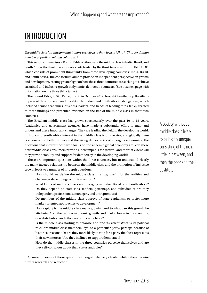# INTRODUCTION

*The middle class is a category that is more sociological than logical (Shashi Tharoor, Indian member of parliament and columnist).*<sup>1</sup>

This report summarises a Round Table on the rise of the middle class in India, Brazil, and South Africa, the third in a series of events hosted by the think tank consortium INCLUDE, which consists of prominent think tanks from three developing countries: India, Brazil, and South Africa. The consortium aims to provide an independent perspective on growth and development, casting greater light on how these three countries are seeking to achieve sustained and inclusive growth in dynamic, democratic contexts. (See box next page with information on the three think tanks).

The Round Table, in São Paulo, Brazil, in October 2012, brought together top Brazilians to present their research and insights. The Indian and South African delegations, which included senior academics, business leaders, and heads of leading think tanks, reacted to these findings and presented evidence on the rise of the middle class in their own countries.

The Brazilian middle class has grown spectacularly over the past 10 to 15 years. Academics and government agencies have made a substantial effort to map and understand these important changes. They are leading the field in the developing world. In India and South Africa interest in the middle class is on the rise, and globally there is a concern to better understand the rising democracies of emerging economies. The questions that interest those who focus on the anaemic global economy are: can these new middle class consumers provide a new impetus for growth; and to what extent will they provide stability and support for democracy in the developing world?

These are important questions within the three countries, but to understand clearly the many-faceted relationship between the middle class and the promotion of inclusive growth leads to a number of in-depth questions:

- How should we define the middle class in a way useful for the realities and challenges developing countries confront?
- What kinds of middle classes are emerging in India, Brazil, and South Africa? Do they depend on state jobs, tenders, patronage, and subsidies or are they independent professionals, managers, and entrepreneurs?
- Do members of the middle class approve of state capitalism or prefer more market-oriented approaches to development?
- How rapidly is the middle class really growing and to what can this growth be attributed? Is it the result of economic growth, and market forces in the economy, or redistribution and other government policies?
- Is the middle class starting to organise and find its voice? What is its political role? Are middle class members loyal to a particular party, perhaps because of historical reasons? Or are they more likely to vote for a party that best represents their new interests? Are they inclined to support democracy?
- How do the middle classes in the three countries perceive themselves and are they self-conscious about their status and roles?

Answers to some of these questions emerged relatively clearly, while others require further research and reflection.

A society without a middle class is likely to be highly unequal, consisting of the rich, little in between, and then the poor and the destitute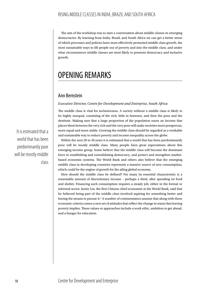The aim of the workshop was to start a conversation about middle classes in emerging democracies. By learning from India, Brazil, and South Africa we can get a better sense of which processes and policies have most effectively promoted middle class growth, the most sustainable ways to lift people out of poverty and into the middle class, and under what circumstances middle classes are most likely to promote democracy and inclusive growth.

# OPENING REMARKS

# Ann Bernstein

#### *Executive Director, Centre for Development and Enterprise, South Africa*

The middle class is vital for inclusiveness. A society without a middle class is likely to be highly unequal, consisting of the rich, little in between, and then the poor and the destitute. Making sure that a large proportion of the population earns an income that places them between the very rich and the very poor will make societies more prosperous, more equal and more stable. Growing the middle class should be regarded as a workable and sustainable way to reduce poverty and income inequality across the globe.

Within the next 20 to 30 years it is estimated that a world that has been predominantly poor will be mostly middle class. Many people have great expectations about this emerging income group. Some believe that the middle class will become the dominant force in establishing and consolidating democracy, and protect and strengthen marketbased economic systems. The World Bank and others also believe that the emerging middle class in developing countries represents a massive source of new consumption, which could be the engine of growth for the ailing global economy.

How should the middle class be defined? For many its essential characteristic is a reasonable amount of discretionary income – perhaps a third, after spending on food and shelter. Financing such consumption requires a steady job, either in the formal or informal sector. Justin Lin, the first Chinese chief economist at the World Bank, said that he believed being part of the middle class involved aspiring for something better and having the means to pursue it.<sup>2</sup> A number of commentators assume that along with these economic criteria comes a new set of attitudes that reflect the change in status that leaving poverty implies. These values or approaches include a work ethic, ambition to get ahead, and a hunger for education.

 It is estimated that a world that has been predominantly poor will be mostly middle class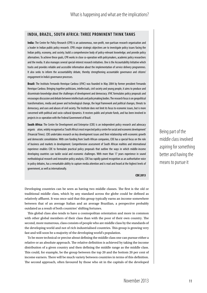### **INDIA, BRAZIL, SOUTH AFRICA: THREE PROMINENT THINK TANKS**

**India:** The Centre for Policy Research (CPR) is an autonomous, non-profit, non-partisan research organisation and a leader in Indian public policy research. CPR's major strategic objectives are to investigate policy issues facing the Indian polity, economy, and society; build a comprehensive body of policy-relevant knowledge; and provide policy alternatives. To achieve these goals, CPR works in close co-operation with policymakers, academic policy researchers and the media. It also manages several special-interest research initiatives. One is the Accountability Initiative which tracks and provides reliable and accessible information about the implementation of service delivery programmes. It also seeks to inform the accountability debate, thereby strengthening accountable governance and citizens' engagement in India's governance processes.

**Brazil:** The Instituto Fernando Henrique Cardoso (iFHC) was founded in May 2004 by former president Fernando Henrique Cardoso. Bringing together politicians, intellectuals, civil society and young people, it aims to produce and disseminate knowledge about the challenges of development and democracy. iFHC formulates policy proposals and encourages discussion and debate between intellectuals and policymaking bodies. The research focus is on geopolitical transformations, media and power and technological change, the legal framework and political changes, threats to democracy, and uses and abuses of civil society. The Institute does not limit its focus to economic issues, but is more concerned with political and socio-cultural dynamics. It receives public and private funds, and has been involved in projects in co-operation with the Federal Government of Brazil.

**South Africa:** The Centre for Development and Enterprise (CDE) is an independent policy research and advocacy organis ation, widely recognised as 'South Africa's most respected policy centre for social and economic development' (Financial Times). CDE undertakes research on key development issues and their relationship with economic growth and democratic consolidation. With core funding from South African companies, CDE has a special focus on the role of business and markets in development. Comprehensive assessment of South African realities and international experience enables CDE to formulate practical policy proposals that outline the ways in which middle-income developing countries can tackle social and economic challenges. With more than 17 years experience in sound methodological research and innovative policy analysis, CDE has rapidly gained recognition as an authoritative voice in policy debates, has a remarkable ability to capture media attention and is read and heard at the highest levels of government, as well as internationally.

**CDE 2013**

Developing countries can be seen as having two middle classes. The first is the old or traditional middle class, which by any standard across the globe could be defined as relatively affluent. It was once said that this group typically earns an income somewhere between that of an average Italian and an average Brazilian, a perspective probably outdated as a result of both countries' shifting fortunes.

This global class also tends to have a cosmopolitan orientation and more in common with other global members of their class than with the poor of their own country. The second, more numerous, class consists of people who are middle class by the standards of the developing world and not of rich industrialised countries. This group is growing very fast and will soon be a majority of the developing world's population.

To be more technical or precise about defining the middle class one can pursue either a relative or an absolute approach. The relative definition is achieved by taking the income distribution of a given country and then defining the middle range as the middle class. This could, for example, be the group between the top 20 and the bottom 20 per cent of income earners. There will be much variety between countries in terms of this definition. The second approach, often favoured by those who sit in the capitals of the developed Being part of the middle class involved aspiring for something better and having the means to pursue it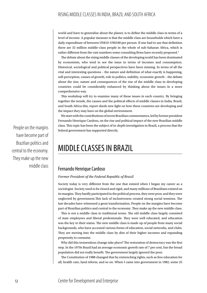world and have to generalise about the planet, is to define the middle class in terms of a level of income. A popular measure is that the middle class are households which have a daily expenditure of between US\$10–US\$100 per person. If one had to use that definition there are 32 million middle-class people in the whole of sub-Saharan Africa, which is rather different from the vast numbers some consulting firms have recently proposed.<sup>3</sup>

The debate about the rising middle classes of the developing world has been dominated by economists, who tend to see the issue in terms of incomes and consumption. Historical, sociological and political perspectives have been missing. In terms of all the vital and interesting questions – the nature and definition of what exactly is happening, self-perception, causes of growth, role in politics, stability, economic growth – the debate about the size, nature and consequences of the rise of the middle class in developing countries could be considerably enhanced by thinking about the issues in a more comprehensive way.

This workshop will try to examine many of these issues in each country. By bringing together the trends, the causes and the political effects of middle classes in India, Brazil, and South Africa this, report sheds new light on how these countries are developing and the impact they may have on the global environment.

We start with the contributions of seven Brazilian commentators, led by former president Fernando Henrique Cardoso, on the rise and political impact of the new Brazilian middle class. This topic has been the subject of in-depth investigation in Brazil, a process that the federal government has supported directly.

# MIDDLE CLASSES IN BRAZIL

## Fernando Henrique Cardoso

#### *Former President of the Federal Republic of Brazil*

Society today is very different from the one that existed when I began my career as a sociologist. Society used to be closed and rigid, and many millions of Brazilians existed on its margins. They hardly participated in the political process, they were poor, and they were neglected by government.This lack of inclusiveness created strong social tensions. The last decades have witnessed a great transformation. People on the margins have become part of Brazilian politics and central to the economy. They make up the new middle class.

This is not a middle class in traditional terms. The old middle class largely consisted of state employees and liberal professionals. They were well educated, and education was the key to their status. The new middle class is made up of people from many social backgrounds, who have accessed various forms of education, social networks, and clubs. They are moving into the middle class by dint of their higher incomes and expanding propensity to consume.

Why did this tremendous change take place? The restoration of democracy was the first step. In the 1970s Brazil had an average economic growth rate of 7 per cent, but the broad population did not really benefit. The government largely ignored the poor.

The Constitution of 1988 changed that by entrenching rights, such as free education for all, health care, land reform, and so on. When I came into government in 1982, some 25

People on the margins have become part of Brazilian politics and central to the economy. They make up the new middle class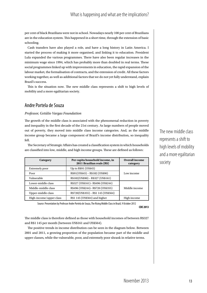per cent of black Brazilians were not in school. Nowadays nearly 100 per cent of Brazilians are in the education system. This happened in a short time, through the extension of basic schooling.

Cash transfers have also played a role, and have a long history in Latin America. I started the process of making it more organised, and linking it to education. President Lula expanded the various programmes. There have also been regular increases in the minimum wage since 1994, which has probably more than doubled in real terms. These social programmes linked up with improvements in education, the rapid expansion of the labour market, the formalisation of contracts, and the extension of credit. All these factors working together, as well as additional factors that we do not yet fully understand, explain Brazil's success.

This is the situation now. The new middle class represents a shift to high levels of mobility and a more egalitarian society.

# Andre Portela de Souza

#### *Professor, Getúlio Vargas Foundation*

The growth of the middle class is associated with the phenomenal reduction in poverty and inequality in the first decade of the 21st century. As large numbers of people moved out of poverty, they moved into middle class income categories. And, as the middle income group became a large component of Brazil's income distribution, so inequality fell.

The Secretary of Strategic Affairs has created a classification system in which households are classified into low, middle, and high income groups. These are defined as follows:

| Category                | Per capita household income, in<br>2011 Brazilian reals (R\$) | <b>Overall income</b><br>category |
|-------------------------|---------------------------------------------------------------|-----------------------------------|
| Extremely poor          | Up to R\$91 (US\$45)                                          |                                   |
| Poor                    | R\$91(US\$45) - R\$182 (US\$90)                               | Low income                        |
| Vulnerable              | R\$182(US\$90) - R\$327 (US\$161)                             |                                   |
| Lower-middle class      | R\$327 (US\$161)- R\$496 (US\$244)                            |                                   |
| Middle-middle class     | R\$496 (US\$244) - R\$720 (US\$355)                           | Middle income                     |
| Upper-middle class      | R\$720(US\$355) - R\$1 145 (US\$564)                          |                                   |
| High-income/upper class | R\$1 145 (US\$564) and higher                                 | High income                       |

Source: Presentation by Professor Andre Portela de Souza, The Rising Middle Class in Brazil, 9 October 2012 **CDE 2013**

The middle class is therefore defined as those with household incomes of between R\$327 and R\$1 145 per month (between US\$161 and US\$564).

The positive trends in income distribution can be seen in the diagram below. Between 2001 and 2011, a growing proportion of the population became part of the middle and upper classes, while the vulnerable, poor, and extremely poor shrank in relative terms.

The new middle class represents a shift to high levels of mobility and a more egalitarian society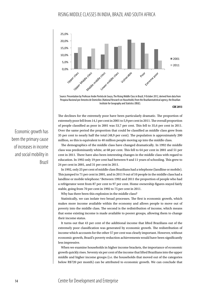

Source: Presentation by Professor Andre Portela de Souza, The Rising Middle Class in Brazil, 9 October 2012, derived from data from Pesquisa Nacional por Amostra de Domicilios (National Research on Households) from the Brazilianstatistical agency, the Brazilian Institute for Geography and Statistics (IBGE).

**CDE 2013**

The declines for the extremely poor have been particularly dramatic. The proportion of extremely poor fell from 14,1 per cent in 2001 to 5,9 per cent in 2011. The overall proportion of people classified as poor in 2001 was 53,7 per cent. This fell to 35,6 per cent in 2011. Over the same period the proportion that could be classified as middle class grew from 35 per cent to nearly half the total (48,9 per cent). The population is approximately 200 million, so this is equivalent to 40 million people moving up into the middle class.

The demographics of the middle class have changed dramatically. In 1992 the middle class was predominantly white, at 68 per cent. This fell to 64 per cent in 2001 and 51 per cent in 2011. There have also been interesting changes in the middle class with regard to education. In 1992 only 19 per cent had between 9 and 11 years of schooling. This grew to 24 per cent in 2001, and 31 per cent in 2011.

In 1992, only 25 per cent of middle class Brazilians had a telephone (landline or mobile). This jumped to 71 per cent in 2001, and in 2011 9 out of 10 people in the middle class had a landline or mobile telephone.<sup>4</sup> Between 1992 and 2011 the proportion of people who had a refrigerator went from 87 per cent to 97 per cent. Home ownership figures stayed fairly stable, going from 70 per cent in 1992 to 75 per cent in 2011.

Why has there been this explosion in the middle class?

Statistically, we can isolate two broad processes. The first is economic growth, which makes more income available within the economy and allows people to move out of poverty into the middle class. The second is the redistribution of income, which means that some existing income is made available to poorer groups, allowing them to change their income status.

It turns out that 43 per cent of the additional income that lifted Brazilians out of the extremely poor classification was generated by economic growth. The redistribution of income which accounts for the other 57 per cent was clearly important. However, without economic growth, Brazil's poverty reduction achievements would have been significantly less impressive.

When we examine households in higher income brackets, the importance of economic growth quickly rises. Seventy six per cent of the income that lifted Brazilians into the upper middle and higher income groups (i.e. the households that moved out of the categories below R\$720 per month) can be attributed to economic growth. We can conclude that

Economic growth has been the primary cause of increases in income and social mobility in Brazil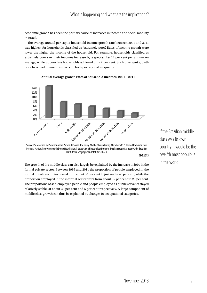economic growth has been the primary cause of increases in income and social mobility in Brazil.

The average annual per capita household income growth rate between 2001 and 2011 was highest for households classified as 'extremely poor'. Rates of income growth were lower the higher the income of the household. For example, households classified as extremely poor saw their incomes increase by a spectacular 14 per cent per annum on average, while upper-class households achieved only 2 per cent. Such divergent growth rates have had dramatic impacts on both poverty and inequality.



**Annual average growth rates of household incomes, 2001 – 2011**

Source: Presentation by Professor Andre Portela de Souza, The Rising Middle Class in Brazil, 9 October 2012, derived from data from Pesquisa Nacional por Amostra de Domicilios (National Research on Households) from the Brazilian statistical agency, the Brazilian Institute for Geography and Statistics (IBGE).

**CDE 2013**

The growth of the middle class can also largely be explained by the increase in jobs in the formal private sector. Between 1995 and 2011 the proportion of people employed in the formal private sector increased from about 30 per cent to just under 40 per cent, while the proportion employed in the informal sector went from about 35 per cent to 25 per cent. The proportions of self-employed people and people employed as public servants stayed relatively stable, at about 30 per cent and 5 per cent respectively. A large component of middle class growth can thus be explained by changes in occupational categories.

If the Brazilian middle class was its own country it would be the twelfth most populous in the world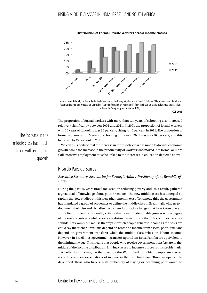

Source: Presentation by Professor Andre Portela de Souza, The Rising Middle Class in Brazil, 9 October 2012, derived from data from Pesquisa Nacional por Amostra de Domicilios (National Research on Households) from the Brazilian statistical agency, the Brazilian Institute for Geography and Statistics (IBGE).

**CDE 2013**

The proportion of formal workers with more than ten years of schooling also increased relatively significantly between 2001 and 2011. In 2001 the proportion of formal workers with 10 years of schooling was 30 per cent, rising to 40 per cent in 2011. The proportion of formal workers with 15 years of schooling or more in 2001 was also 30 per cent, and this had risen to 35 per cent in 2011.

We can thus deduce that the increase in the middle class has much to do with economic growth, while the increase in the productivity of workers who moved into formal or more skill intensive employment must be linked to the increases in education depicted above.

### Ricardo Paes de Barros

*Executive Secretary, Secretariat for Strategic Affairs, Presidency of the Republic of Brazil*

During the past 25 years Brazil focussed on reducing poverty and, as a result, gathered a great deal of knowledge about poor Brazilians. The new middle class has emerged so rapidly that few studies on this new phenomenon exist. To remedy this, the government has mandated a group of academics to define the middle class in Brazil – allowing us to document their rise and visualise the tremendous social changes that have taken place.

The first problem is to identify criteria that result in identifiable groups with a degree of internal consistency while also being distinct from one another. This is not as easy as it sounds. For example, if we use the ways in which people generate income as the basis, we could say that richer Brazilians depend on rents and income from assets; poor Brazilians depend on government transfers; while the middle class relies on labour income. However, in Brazil most government transfers apart from Bolsa Família are equivalent to the minimum wage. This means that people who receive government transfers are in the middle of the income distribution. Linking classes to income sources is thus problematic.

A better formula may be that used by the World Bank, in which people are classed according to their expectations of income in the next five years. Three groups can be developed: those who have a high probability of staying or becoming poor would be

The increase in the middle class has much to do with economic growth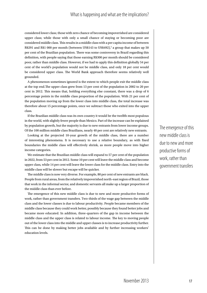considered lower class; those with zero chance of becoming impoverished are considered upper class; while those with only a small chance of staying or becoming poor are considered middle class. This results in a middle class with a per capita income of between R\$291 and R\$1 000 per month (between US\$143 to US\$492),<sup>5</sup> a group that makes up 50 per cent of the Brazilian population. There was some controversy in Brazil regarding this definition, with people saying that those earning R\$300 per month should be considered poor, rather than middle class. However, if we had to apply this definition globally 54 per cent of the world's population would not be middle class, and only 18 per cent would be considered upper class. The World Bank approach therefore seems relatively well grounded.

A phenomenon sometimes ignored is the extent to which people exit the middle class at the top end.The upper class grew from 13 per cent of the population in 2002 to 20 per cent in 2012. This means that, holding everything else constant, there was a drop of 6 percentage points in the middle class proportion of the population. With 21 per cent of the population moving up from the lower class into middle class, the total increase was therefore about 15 percentage points, once we subtract those who exited into the upper class.

If the Brazilian middle class was its own country it would be the twelfth most populous in the world, with slightly fewer people than Mexico. Part of the increase can be explained by population growth, but the majority is due to new entrants from lower income groups. Of the 100 million middle class Brazilians, nearly 40 per cent are relatively new entrants.

Looking at the projected 10-year growth of the middle class, there are a number of interesting phenomena. It is necessary to use a relative boundary, as with fixed boundaries the middle class will effectively shrink, as more people move into higher income categories.

We estimate that the Brazilian middle class will expand to 57 per cent of the population in 2022, from 53 per cent in 2012. Some 10 per cent will leave the middle class and become upper class, while 14 per cent will leave the lower class for the middle class. Entry into the middle class will be slower but escape will be quicker.

The middle class is now very diverse. For example, 80 per cent of new entrants are black. People from rural areas, from the relatively impoverished north-east region of Brazil, those that work in the informal sector, and domestic servants all make up a larger proportion of the middle class than ever before.

The emergence of this new middle class is due to new and more productive forms of work, rather than government transfers. Two-thirds of the wage gap between the middle class and the lower classes is due to labour productivity. People became members of the middle class because they could work better, possibly because they found better jobs and became more educated. In addition, three-quarters of the gap in income between the middle class and the upper class is related to labour income. The key to moving people out of the lower class into the middle and upper classes is to increase productivity further. This can be done by making better jobs available and by further increasing workers' education levels.

The emergence of this new middle class is due to new and more productive forms of work, rather than government transfers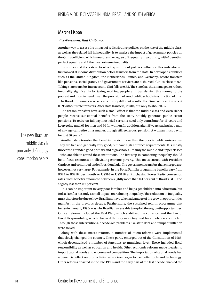## Marcos Lisboa

#### *Vice-President, Itaú Unibanco*

Another way to assess the impact of redistributive policies on the rise of the middle class, as well as the related fall in inequality, is to analyse the impact of government policies on the Gini coefficient, which measures the degree of inequality in a country, with 0 denoting perfect equality and 1 the most extreme inequality.

To understand the extent to which government policies influence this indicator we first looked at income distribution before transfers from the state. In developed countries such as the United Kingdom, the Netherlands, France, and Germany, before transfers like pensions, social grants, and government services are disbursed, Gini is close to 0,5. Taking state transfers into account, Gini falls to 0,35. The state has thus managed to reduce inequality significantly by taxing working people and transferring this money to the poorest and most in need. Even the provision of good public schools is a function of this.

In Brazil, the same exercise leads to very different results. The Gini coefficient starts at 0,59 without state transfers. After state transfers, it falls, but only to about 0,55.

The reason transfers have such a small effect is that the middle class and even richer people receive substantial benefits from the state, notably generous public sector pensions. To retire on full pay most civil servants need only contribute for 15 years and keep going until 65 for men and 60 for women. In addition, after 35 years paying in, a man of any age can retire on a smaller, though still generous, pension. A woman must pay in for just 30 years.<sup>6</sup>

Another state transfer that benefits the rich more than the poor is public universities. They are free and generally very good, but have high entrance requirements. It is mostly those who attended good primary and high schools – mainly the middle and upper classes – who are able to attend these institutions. The first step in combating inequality should be to focus resources on alleviating extreme poverty. This focus started with President Cardoso and continued under President Lula. The government transfers that emerged are, however, not very large. For example, in the Bolsa Família programme benefits vary from R\$29 to R\$218, per month or US\$16 to US\$118 at Purchasing Power Parity conversion rates. Total benefits amount to between slightly more than 0,4 per cent of Brazil's GDP and slightly less than 0,7 per cent.

This can be important to very poor families and helps get children into education, but Bolsa Família has only a small impact on reducing inequality. The reduction in inequality must therefore be due to how Brazilians have taken advantage of the growth opportunities manifest in the previous decade. Furthermore, the sustained reform programme that began in the early 1990s was why Brazilians were able to exploit these growth opportunities. Critical reforms included the Real Plan, which stabilised the currency, and the Law of Fiscal Responsibility, which changed the way monetary and fiscal policy is conducted. Through these interventions, decade-old problems like state debt and rampant inflation were solved.

Along with these macro-reforms, a number of micro-reforms were implemented that slowly changed the country. These partly emerged out of the Constitution of 1988, which decentralised a number of functions to municipal level. These included fiscal responsibility as well as education and health. Other economic reforms made it easier to import capital goods and encouraged competition. The importation of capital goods had a beneficial effect on productivity, as workers began to use better tools and technology. Other reforms enacted in the late 1990s and the early part of the last decade enabled the

The new Brazilian middle class is primarily defined by consumption habits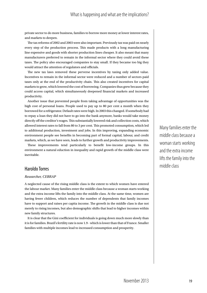private sector to do more business, families to borrow more money at lower interest rates, and markets to deepen.

The tax reforms of 2002 and 2003 were also important. Previously tax was paid on nearly every step of the production process. This made products with a long manufacturing line expensive and goods with shorter production lines cheaper. It also meant that many manufacturers preferred to remain in the informal sector where they could avoid these taxes. The policy also encouraged companies to stay small. If they became too big they would attract the attention of regulators and officials.

The new tax laws removed these perverse incentives by taxing only added value. Incentives to remain in the informal sector were reduced and a number of sectors paid taxes only at the end of the productivity chain. This also created incentives for capital markets to grow, which lowered the cost of borrowing. Companies thus grew because they could access capital, which simultaneously deepened financial markets and increased productivity.

Another issue that prevented people from taking advantage of opportunities was the high cost of personal loans. People used to pay up to 80 per cent a month when they borrowed for a refrigerator. Default rates were high. In 2003 this changed. If somebody had to repay a loan they did not have to go into the bank anymore, banks would take money directly off the creditor's wages. This substantially lowered risk and collection costs, which allowed interest rates to fall from 80 to 3 per cent. This promoted consumption, which led to additional production, investment and jobs. In this improving, expanding economic environment people see benefits in becoming part of formal capital, labour, and credit markets, which, as we have seen, leads to further growth and productivity improvements.

These improvements tend particularly to benefit low-income groups. In this environment a natural eduction in inequality and rapid growth of the middle class were inevitable.

### Haroldo Torres

#### *Researcher, CEBRAP*

A neglected cause of the rising middle class is the extent to which women have entered the labour market. Many families enter the middle class because a woman starts working and the extra income lifts the family into the middle class. At the same time, women are having fewer children, which reduces the number of dependents that family incomes have to support and raises per capita income. The growth in the middle class is due not merely to rising incomes, but also demographic shifts that lead to higher incomes within new family structures.

It is clear that the Gini coefficient for individuals is going down much more slowly than it is for families. Brazil's fertility rate is now 1.9 - which is lower than that of France. Smaller families with multiple incomes lead to increased consumption and prosperity.

Many families enter the middle class because a woman starts working and the extra income lifts the family into the middle class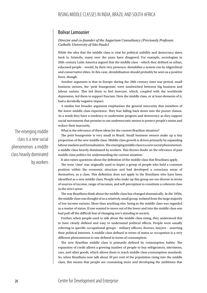## Bolivar Lamounier

#### *Director and co-founder of the Augurium Consultancy (Previously Professor, Catholic University of São Paulo)*

While the idea that the middle class is vital for political stability and democracy dates back to Aristotle, many over the years have disagreed. For example, sociologists in 20th-century Latin America argued that the middle class – which they defined as urban, educated people – would, by their very presence, destabilise a system run by oligarchical and conservative elites. In this case, destabilisation should probably be seen as a positive force, though.

Another argument is that in Europe during the 20th century inter-war period, small business owners, the 'petit bourgeoisie', were sandwiched between big business and labour unions. This led them to feel insecure, which, coupled with the worldwide depression, led them to support Fascism. Here the middle class, or at least elements of it, had a decidedly negative impact.

A similar but broader argument emphasises the general insecurity that members of the lower middle class experience. They fear falling back down into the poorer classes. As a result they have a tendency to undermine progress and democracy as they support social movements that promise to use undemocratic means to protect people's status and reduce their insecurity.

What is the relevance of these ideas for the current Brazilian situation?

The petit bourgeoisie is very small in Brazil. Small business owners make up a tiny proportion of the new middle class. Middle class growth is driven primarily by expanding labour markets and formalisation. The emerging middle class is a new social phenomenon: a middle class heavily dominated by workers. This throws doubt on the relevance of past middle class politics for understanding the current situation.

It also raises questions about the definition of the middle class that Brazilians apply.

The term 'class' was originally used to depict a group of people who held a common position within the economic structure and had developed a conscious sense of themselves, as a class. This definition does not apply to the Brazilians who have been identified as a new middle class. People who make up this group are too diverse in terms of sources of income, range of incomes, and self-perception to constitute a coherent class in the strict sense.

The way Brazilians think about the middle class has changed dramatically. In the 1950s, the middle class was thought of as a relatively small group, isolated from the large majority of low income earners. More than anything else, being in the middle class was regarded as a matter of status. If one wanted to move out of the lower and into the middle class one had pull off the difficult feat of changing one's standing in society.

Further, when people used to talk about the middle class rising, they understood this to have clearly defined and easy to understand political effects. People were usually referring to specific occupational groups – military officers, doctors, lawyers – asserting their political interests. A middle class defined in terms of status or occupation is a very different phenomenon to one defined in terms of consumption.

The new Brazilian middle class is primarily defined by consumption habits. The expansion of credit allows a growing number of people to buy refrigerators, televisions, cars, and other goods, which allows them to reach middle class consumption standards. So, when Brazilians now talk about 50 per cent of the population rising into the middle class, this means that people are consuming more and developing the ambitions that

The emerging middle class is a new social phenomenon: a middle class heavily dominated by workers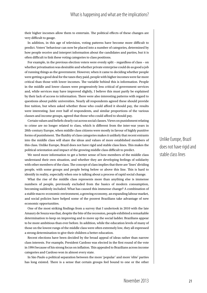their higher incomes allow them to entertain. The political effects of these changes are very difficult to gauge.

In addition, in this age of television, voting patterns have become more difficult to predict. Voters' behaviour can now be placed into a number of categories, determined by how people receive and interpret information about the candidates and parties, but it is often difficult to link these voting categories to class positions.

For example, in the previous election voters were evenly split – regardless of class – on whether privatisation was desirable and whether private enterprise could do as good a job of running things as the government. However, when it came to deciding whether people were getting a good deal for the taxes they paid, people with higher incomes were far more critical than those with lower incomes. The variable behind this is information. People in the middle and lower classes were progressively less critical of government services and, while services may have improved slightly, I believe this must partly be explained by their lack of access to information. There were also interesting patterns with regard to questions about public universities. Nearly all respondents agreed these should provide free tuition, but when asked whether those who could afford it should pay, the results were interesting. Just over half of respondents, and similar proportions of the various classes and income groups, agreed that those who could afford to should pay.

Certain values and beliefs clearly cut across social classes. Views on punishment relating to crime are no longer related to class, which is different from the inter-war years in 20th-century Europe, when middle class citizens were mostly in favour of highly punitive forms of punishment. The fluidity of class categories makes it unlikely that recent entrants into the middle class will share the ideas and values of more established members of this class. Unlike Europe, Brazil does not have rigid and stable class lines. This makes the political orientation and impact of the growing middle class difficult to predict.

We need more information to get a better sense of how members of the middle class understand their own situation, and whether they are developing feelings of solidarity with other members of the class. The concept of class implies that there are 'lines' dividing people, with some groups and people being below or above this line. This is hard to identify in reality, especially when one is talking about a process of rapid social change.

What the rise of the middle class represents more than anything else is immense numbers of people, previously excluded from the basics of modern consumption, becoming suddenly included. What has caused this immense change? A combination of a stable macro-economic environment, a growing economy, an expanding labour market, and social policies have helped some of the poorest Brazilians take advantage of new economic opportunities.

One of the most striking findings from a survey that I undertook in 2010 with the late Amaury de Souza was that, despite the bite of the recession, people exhibited a remarkable determination to keep on improving and to move up the social ladder. Brazilians appear to be more ambitious than ever before. In addition, while the education levels of many of those on the lowest rungs of the middle class were often extremely low, they all expressed a strong determination to give their children a better education.

Recent elections have been decided by the broad appeal of ideas rather than narrow class interests. For example, President Cardoso was elected in the first round of the vote in 1994 because of his strong focus on inflation. This appealed to Brazilians across income categories and Cardoso won in almost every state.

In São Paulo a political separation between the more 'popular' and more 'elite' parties has long existed. There is a sense that certain groups feel bound to one or the other

Unlike Europe, Brazil does not have rigid and stable class lines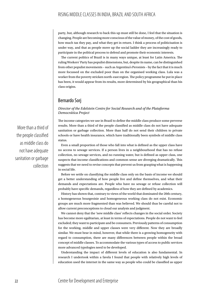party, but, although research to back this up must still be done, I feel that the situation is changing. People are becoming more conscious of the value of money, of the cost of goods, how much tax they pay, and what they get in return. I think a process of politicisation is under way, and that as people move up the social ladder they are increasingly ready to participate in the political process to defend and promote their economic interests.

The current politics of Brazil is in many ways unique, at least for Latin America. The ruling Workers' Party has populist dimensions, but, despite its name, can be distinguished from other populist movements – such as Argentina's Peronists – by the fact that it is much more focussed on the excluded poor than on the organised working class. Lula was a worker from the poverty stricken north-east region. The policy programme he put in place has been, it would appear from its results, more determined by his geographical than his class origins.

## Bernardo Sorj

#### *Director of the Edelstein Centre for Social Research and of the Plataforma Democrática Project*

The income categories we use in Brazil to define the middle class produce some perverse results. More than a third of the people classified as middle class do not have adequate sanitation or garbage collection. More than half do not send their children to private schools or have health insurance, which have traditionally been symbols of middle class status.

Even a small proportion of those who fall into what is defined as the upper class have no access to sewage services. If a person lives in a neighbourhood that has no refuse collection, no sewage services, and no running water, but is defined as upper class, one suspects that income classifications and common sense are diverging dramatically. This suggests that we need to revise concepts that prevent us from grasping what is happening in social life.

Before we settle on classifying the middle class only on the basis of income we should get a better understanding of how people live and define themselves, and what their demands and expectations are. People who have no sewage or refuse collection will probably have specific demands, regardless of how they are defined by academics.

History has shown that, contrary to views of the world that dominated the 20th century, a homogeneous bourgeoisie and homogeneous working class do not exist. Economic groups are much more fragmented than was believed. We should thus be careful not to allow current preconceptions to cloud our analysis and judgment.

We cannot deny that the 'new middle class' reflects changes in the social order. Society has become more egalitarian, at least in terms of expectations. People do not want to feel excluded; they want to participate and be consumers. Previously patterns of consumption for the working, middle and upper classes were very different. Now they are broadly similar. We must bear in mind, however, that while there is a growing homogeneity with regard to consumption, there are many differences between people within the broad concept of middle classes. To accommodate the various types of access to public services more advanced typologies need to be developed.

Understanding the impact of different levels of education is also fundamental. In research I undertook within a favela I found that people with relatively high levels of education used the internet in the same way as people who could be classified as upper

More than a third of the people classified as middle class do not have adequate sanitation or garbage collection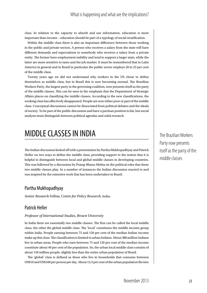## What is happening and what are the implications?

class. In relation to the capacity to absorb and use information, education is more important than income – education should be part of a typology of social stratification.

Within the middle class there is also an important difference between those working in the public and private sectors. A person who receives a salary from the state will have different demands and expectations to somebody who receives a salary from a private entity. The former have employment stability and tend to support a larger state, while the latter are more sensitive to taxes and the job market. It must be remembered that in Latin America in general and in Brazil in particular the public sector employs 20 to 25 per cent of the middle class.

Twenty years ago we did not understand why workers in the US chose to define themselves as middle class, but in Brazil this is now becoming normal. The Brazilian Workers Party, the largest party in the governing coalition, now presents itself as the party of the middle classes. This can be seen in the emphasis that the Department of Strategic Affairs places on classifying the middle classes. According to the new classifications, the working class has effectively disappeared. People are now either poor or part of the middle class. Conceptual discussions cannot be dissociated from political debates and the ideals of society. To be part of the public discussion and have a partisan position is fair, but social analysts must distinguish between political agendas and solid research.

# MIDDLE CLASSES IN INDIA

The Indian discussion kicked off with a presentation by Partha Mukhopadhyay and Patrick Heller on two ways to define the middle class, providing support to the notion that it is helpful to distinguish between local and global middle classes in developing countries. This was followed by a discussion by Pratap Bhanu Mehta on the political roles that these two middle classes play. In a number of instances the Indian discussion reacted to and was inspired by the extensive work that has been undertaken in Brazil.

## Partha Mukhopadhyay

*Senior Research Fellow, Centre for Policy Research,* India;

## Patrick Heller

#### *Professor of International Studies, Brown University*

In India there are essentially two middle classes. The first can be called the local middle class; the other the global middle class. The 'local' constitutes the middle income group within India. People earning between 75 and 150 per cent of the median Indian income make up this class. The classification is limited to urban Indians. About 380 million Indians live in urban areas. People who earn between 75 and 150 per cent of the median income constitute about 40 per cent of the population. So, the urban local middle class consists of about 150 million people, slightly less than the entire urban population of Brazil.

The 'global' class is defined as those who live in households that consume between US\$10 and US\$100 per person per day. About 12,5 per cent of the urban population fits into

The Brazilian Workers Party now presents itself as the party of the middle classes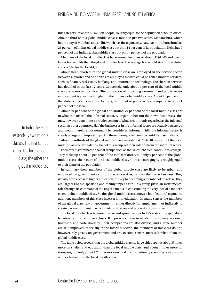this category, or about 50 million people, roughly equal to the population of South Africa. About a third of this global middle class is found in just two states, Maharashtra, which has the city of Mumbai, and Delhi, which has the capital city, New Delhi. Maharashtra has 23 per cent of India's global middle class but only 14 per cent of its population. Delhi has 9 per cent of the Indian global middle class but only 4 per cent of the population.

Members of the local middle class have annual incomes of about US\$6 000 and live in larger households than the global middle class. The average household size for the global class is 3,6 - for the local 4,3.

About three-quarters of the global middle class are employed in the service sector. Between a quarter and one-third are employed in what could be called modern services, such as finance, real estate, banking, and information technology. The share in services has doubled in the last 17 years. Conversely, only about 7 per cent of the local middle class are in modern services. The proportion of those in government and public sector employment is also much higher in the Indian global middle class. About 28 per cent of the global class are employed by the government or public sector, compared to only 11 per cent of the local.

About 40 per cent of the global and around 70 per cent of the local middle class are in what Indians call the informal sector. A large number run their own businesses. This may, however, constitute a broader version of what is commonly regarded as the informal sector in other countries. Half the businesses in the informal sector are actually registered and would therefore not normally be considered informal.<sup>7</sup> Still, the informal sector is clearly a large and important part of the economy, even amongst middle class Indians.

About two-thirds of the global middle class are salaried. Only 40 per cent of the local middle class receive salaries; half of this group get their salaries from the informal sector.

Formerly discriminated against groups such as the 'untouchables' continue to struggle. They make up about 18 per cent of the total workforce, but only 9 per cent of the global middle class. Their share of the local middle class, more encouragingly, is roughly equal to their share of the population.

In summary then, members of the global middle class are likely to be urban and employed by government or in businesses services, or own their own business. They usually have access to higher education, the key to becoming a member of this class. They are largely English-speaking and mainly upper caste. This group plays an instrumental role through its command of the English media in constructing the very idea of a modern cosmopolitan middle class. So the global middle class enjoys a lot of cultural capital. In addition, members of this class invest a lot in education. In many senses the members of the global class rely on government – either directly for employment, or indirectly to create the environment in which their businesses and professions can thrive.

The local middle class is more diverse and spread across India's states. It is split along language, ethnic, and caste lines. It represents India in all its extraordinary regional, linguistic, and caste diversity. Their occupations are also diverse, and a large number are self-employed, especially in the informal sector. The members of this class do not, however, rely greatly on government and are, in some senses, more self-reliant than the global middle class.

The table below reveals that the global middle class in large cities spends about 5 times more on shelter and education than the local middle class, and about 4 times more on transport, but only about 1,7 times more on food. Its discretionary spending is also about 4 times higher than the local middle class.

In India there are essentially two middle classes. The first can be called the local middle class; the other the global middle class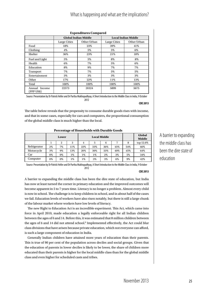# What is happening and what are the implications?

| <b>Expenditures Compared</b> |              |                             |                            |             |  |
|------------------------------|--------------|-----------------------------|----------------------------|-------------|--|
|                              |              | <b>Global Indian Middle</b> | <b>Local Indian Middle</b> |             |  |
|                              | Large Cities | Other Urban                 | Large Cities               | Other Urban |  |
| Food                         | 18%          | 23%                         | 39%                        | 41%         |  |
| Clothing                     | 4%           | 5%                          | 5%                         | 6%          |  |
| Shelter                      | 36%          | 23%                         | 21%                        | 18%         |  |
| Fuel and Light               | 5%           | 5%                          | 8%                         | 8%          |  |
| Health                       | 6%           | 7%                          | 5%                         | 6%          |  |
| Education                    | 8%           | 9%                          | 7%                         | 7%          |  |
| Transport                    | 7%           | 7%                          | 5%                         | 5%          |  |
| Entertainment                | 3%           | 3%                          | 3%                         | 3%          |  |
| Other                        | 17%          | 22%                         | 11%                        | 13%         |  |
| Total                        | 100%         | 100%                        | 100%                       | 100%        |  |
| Annual Income<br>(PPP US\$)  | 22573        | 20324                       | 5899                       | 5675        |  |

Source: Presentation by Dr Patrick Heller and Dr Partha Mukhopadhyay, A Short Introduction to the Middle Class in India, 9 October 2012

**CDE 2013**

The table below reveals that the propensity to consume durable goods rises with income, and that in some cases, especially for cars and computers, the proportional consumption of the global middle class is much higher than the local.

**Percentage of Households with Durable Goods**

|              | Lower |       | <b>Local Middle</b> |       |       | Global<br><b>Middle</b> |     |     |           |
|--------------|-------|-------|---------------------|-------|-------|-------------------------|-----|-----|-----------|
|              |       | 2     |                     | 4     | 5     | 6                       |     | 8   | top 12.6% |
| Refrigerator | 2%    | $7\%$ | 11%                 | 22%   | 33%   | 36%                     | 45% | 54% | 66%       |
| Motorcycle   | 3%    | 9%    | 13%                 | 20%   | 30%   | 33%                     | 40% | 45% | 64%       |
| Car          | 0%    | 0%    | $1\%$               | $1\%$ | $1\%$ | 2%                      | 3%  | 5%  | 34%       |
| Computer     | 0%    | 0%    | $1\%$               | $1\%$ | 3%    | 3%                      | 6%  | 9%  | 42%       |

Source: Presentation by Dr Patrick Heller and Dr Partha Mukhopadhyay, A Short Introduction to the Middle Class in India, 9 October 2012

**CDE 2013**

A barrier to expanding the middle class has been the dire state of education, but India has now at least turned the corner in primary education and the improved outcomes will become apparent in 5 to 7 years time. Literacy is no longer a problem. Almost every child is now in school. The challenge is to keep children in school, and in about half of the cases we fail. Education levels of workers have also risen notably, but there is still a large chunk of the labour market where workers have low levels of literacy.

The new Right to Education Act is an incredible experiment. This Act, which came into force in April 2010, made education a legally enforceable right for all Indian children between the ages of 6 and 14. Before this, it was estimated that 8 million children between the ages of 6 and 14 did not attend school.<sup>8</sup> Implemented effectively, the Act could blur class divisions that have arisen because private education, which not everyone can afford, is such a large component of education in India.

Generally Indian children have attained more years of education than their parents. This is true of 90 per cent of the population across deciles and social groups. Given that the education of parents in lower deciles is likely to be lower, the share of children more educated than their parents is higher for the local middle class than for the global middle class and even higher for scheduled casts and tribes.

A barrier to expanding the middle class has been the dire state of education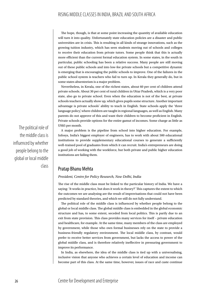The hope, though, is that at some point increasing the quantity of available education will turn it into quality. Unfortunately state education policies are a disaster and public universities are in crisis. This is resulting in all kinds of strange innovations, such as the growing tuition industry, which has seen students moving out of schools and colleges to receive their education from private tutors. Some people think that this is actually more efficient than the current formal education system. In some states, in the south in particular, public schooling has been a relative success. Many people are still moving out of these public schools and into low-fee private schools but a competitive dynamic is emerging that is encouraging the public schools to improve. One of the failures in the public school system is teachers who fail to turn up. In Kerala they generally do, but in some states absenteeism is a major problem.

Nevertheless, in Kerala, one of the richest states, about 60 per cent of children attend private schools. About 30 per cent of rural children in Uttar Pradesh, which is a very poor state, also go to private school. Even when the education is not of the best, at private schools teachers actually show up, which gives pupils some structure. Another important advantage is private schools' ability to teach in English. State schools apply the 'three language policy', where children are taught in regional languages, as well as English. Many parents do not approve of this and want their children to become proficient in English. Private schools provide options for the entire gamut of incomes. Some charge as little as US\$5 per month.

A major problem is the pipeline from school into higher education. For example, Infosys, India's biggest employer of engineers, has to work with about 500 educational institutions to provide supplementary educational courses to generate a sufficiently well-trained pool of graduates from which it can recruit. India's entrepreneurs are doing a good job of working with the workforce, but both private and public higher education institutions are failing them.

## Pratap Bhanu Mehta

#### *President, Centre for Policy Research, New Delhi, India*

The rise of the middle class must be linked to the particular history of India. We have a saying: 'It works in practice, but does it work in theory?' This captures the extent to which the outcomes we are analysing are the result of improvisations that could not have been predicted by standard theories, and which we still do not fully understand.

The political role of the middle class is influenced by whether people belong to the global or local middle class. The global middle class is embedded in the global economic structure and has, to some extent, seceded from local politics. This is partly due to an exit from state provision. This class provides many services for itself – private education and healthcare, for example. At the same time, many members of the class are employed by government, while those who own formal businesses rely on the state to provide a business-friendly regulatory environment. The local middle class, by contrast, would prefer to receive better services from government, but lacks the access to power of the global middle class, and is therefore relatively ineffective in pressuring government to improve its performance.

In India, as elsewhere, the idea of the middle class is tied up with a universalising, inclusive vision that anyone who achieves a certain level of education and income can become part of this class. At the same time, however, issues of race and caste continue

The political role of the middle class is influenced by whether people belong to the global or local middle class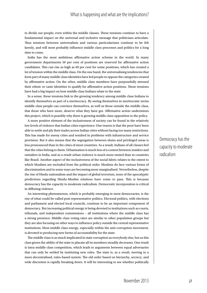to divide our people, even within the middle classes. These tensions continue to have a fundamental impact on the universal and inclusive message that politicians articulate. Thus tensions between universalism and various particularisms continue to be felt keenly, and will most probably influence middle class processes and politics for a long time to come.

India has the most ambitious affirmative action scheme in the world. In many government departments 50 per cent of positions are reserved for affirmative action candidates. This can rise as high as 69 per cent for some positions, which has created a lot of tension within the middle class. On the one hand, the universalising tendencies that form part of many middle class identities have led people to oppose the categories created by affirmative action. On the other, middle class members have purposefully stressed their ethnic or caste identities to qualify for affirmative action positions. These tensions have had a big impact on how middle class Indians relate to the state.

In a sense, these tensions link to the growing tendency among middle class Indians to identify themselves as part of a meritocracy. By seeing themselves in meritocratic terms middle class people can convince themselves, as well as those outside the middle class, that those who have more, deserve what they have got. Affirmative action undermines this project, which is possibly why there is growing middle class opposition to the policy.

A more positive element of the inclusiveness of society can be found in the relatively low levels of violence that Indian cities experience. One reason is that the poor have been able to settle and ply their trades across Indian cities without facing too many restrictions. This has made for messy cities and resulted in problems with infrastructure and service provision. But it also means that the segregation between slums and privileged areas is less pronounced than in the cities of most countries. As a result, Indians of all classes feel that the cities belong to them. Urbanisation is much less of a contest between insiders and outsiders in India, and as a result urban violence is much more muted than in countries like Brazil. Another aspect of the inclusiveness of the social fabric relates to the extent to which Muslims are excluded from the political order. Muslims do face various forms of discrimination and in some ways are becoming more marginalised. Nevertheless, despite the rise of Hindu nationalism and the impact of global terrorism, none of the apocalyptic predictions regarding Hindu-Muslim relations have come to pass. This is because democracy has the capacity to moderate radicalism. Democratic incorporation is critical in diffusing violence.

An interesting phenomenon, which is probably emerging in most democracies, is the rise of what could be called post-representative politics. Electoral politics, with elections and parliament and elected local councils, continue to be an important component of democracy. But increasing political energy is being devoted to institutions such as courts, tribunals, and independent commissions – all institutions where the middle class has a strong presence. Middle class voting rates are similar to other population groups but they are also focusing on other ways to influence policy outside the central representative institutions. Most middle class energy, especially within the anti-corruption movement, is devoted to producing new forms of accountability for the state.

The middle class is as much implicated in state corruption as everybody else, but as this class grows the ability of the state to placate all its members steadily decreases. One result is intra-middle class competition, which leads to arguments between equal adversaries that can only be settled by instituting new rules. The state is, as a result, moving to a more decentralised, rules-based system. The old order based on hierarchy, secrecy, and wide discretion is rapidly breaking down. It will be interesting to see whether politically Democracy has the capacity to moderate radicalism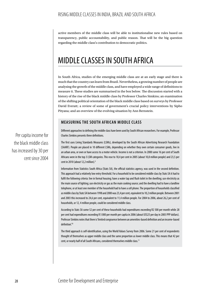active members of the middle class will be able to institutionalise new rules based on transparency, public accountability, and public reason. That will be the big question regarding the middle class's contribution to democratic politics.

# MIDDLE CLASSES IN SOUTH AFRICA

In South Africa, studies of the emerging middle class are at an early stage and there is much that the country can learn from Brazil. Nevertheless, a growing number of people are analysing the growth of the middle class, and have employed a wide range of definitions to measure it. These studies are summarised in the box below. The discussion started with a history of the rise of the black middle class by Professor Charles Simkins; an examination of the shifting political orientation of the black middle class based on surveys by Professor David Everatt; a review of some of government's crucial policy interventions by Sipho Pityana; and an overview of the evolving situation by Ann Bernstein.

### **MEASURING THE SOUTH AFRICAN MIDDLE CLASS**

Different approaches to defining the middle class have been used by South African researchers. For example, Professor Charles Simkins presents three definitions.

The first uses Living Standards Measures (LSMs), developed by the South African Advertising Research Foundation (SAARF). People are placed in 10 different LSMs, depending on whether they own certain consumer goods, live in an urban area, or own or have access to a motor vehicle. Income is not a criterion. In 2000 some 16 per cent of South Africans were in the top 3 LSM categories. This rose to 18,4 per cent in 2005 (about 10,8 million people) and 23,5 per cent in 2010 (about 12,2 million).<sup>9</sup>

Information from Statistics South Africa (Stats SA), the official statistics agency, was used in the second definition. This approach had a relatively low entry threshold. For a household to be considered middle class by Stats SA it had to fulfil the following criteria: live in formal housing; have a water tap and flush toilet in the dwelling; use electricity as the main source of lighting; use electricity or gas as the main cooking source; and the dwelling had to have a landline telephone, or at least one member of the household had to have a cell phone. The proportion of households classified as middle class by Stats SA between 1998 and 2000 was 23,4 per cent, equivalent to 10,2 million people. Between 2001 and 2003 this increased to 24,6 per cent, equivalent to 11,4 million people. For 2004 to 2006, about 26,2 per cent of households, or 12, 4 million people, could be considered middle class.

According to Stats SA some 52 per cent of these households had expenditures exceeding R2 500 per month while 28 per cent had expenditures exceeding R 5 000 per month per capita in 2006 (about US\$25 per day in 2005 PPP dollars). Professor Simkins notes that there is 'limited congruence between an amenities-based definition and an income-based definition.<sup>10</sup>

The third approach is self-identification, using the World Values Survey from 2006. Some 21 per cent of respondents thought of themselves as upper middle class and the same proportion as lower middle class. This means that 42 per cent, or nearly half of all South Africans, considered themselves middle class.<sup>11</sup>

Per capita income for the black middle class has increased by 30 per cent since 2004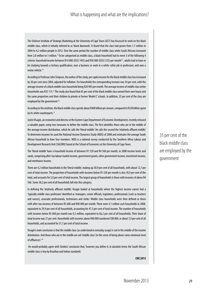The Unilever Institute of Strategic Marketing at the University of Cape Town (UCT) has focussed its work on the black middle class, which it initially referred to as 'black diamonds'. It found that the class had grown from 1,7 million in 2004 to 4,2 million people in 2012. Over the same period the number of middle class white South Africans increased from 2,8 million to 3 million.<sup>12</sup> To be categorised as middle class, a black household had to meet 3 of the following 4 criteria: household income between R14 000 (US\$1 493) and R50 000 (US\$5 333) per month13 ; adults had to have or be studying towards a tertiary qualification; own a business or work in a white-collar job or profession; and own a motor vehicle.<sup>14</sup>

According to Professor John Simpson, the author of the study, per capita income for the black middle class has increased by 30 per cent since 2004, adjusted for inflation. For households the corresponding increase was 34 per cent, with the average income of a black middle class household being R20 985 per month. The average income of middle class white households was R25 115.15 The study also found that 65 per cent of the black middle class owned their own house and the same proportion sent their children to private or former 'Model C' schools. In addition, 35 per cent of the class are employed by the government.<sup>16</sup>

According to the institute, the black middle class spends about R400 billion per annum, compared to R320 billion spent by its white counterparts.<sup>17</sup>

Justin Visagie, an economist and director at the Eastern Cape Department of Economic Development, recently released a valuable paper, using two measures to define the middle class. The first identifies those who are in the middle of the average income distribution, which he calls the 'literal middle'. He calls the second the 'relatively affluent middle'. To determine incomes he used the National Income Dynamics Study (NIDS) of 2008 and estimates the average South African household to have four members. NIDS is a national survey conducted by the Southern Africa Labour and Development Research Unit (SALDRU) based at the School of Economics at the University of Cape Town.

The 'literal middle' have a household income of between R1 520 and R4 560 per month, in 2008 income levels and rands, comprising after-tax labour market income, government grants, other government income, investment income, and remittance income.

There are 4,2 million households in the 'literal middle', making up 30,9 per cent of all households, with about 12,7 per cent of total income. The proportion of households with incomes below R1 520 per month is also 30,9 per cent of the total, and accounts for 5,0 per cent of total income. The largest group of households is those with incomes of above R4 560. Some 38,2 per cent of all households fall into this category.

In defining the 'relatively affluent middle', Visagie looked at households where the highest income earner had a 'typically middle class profession' identified as 'managers, senior officials, legislators, professionals (such as teachers and nurses), associate professionals, technicians and clerks'. Middle class households were then defined as those with after-tax incomes of between R5 600 and R40 000 per month. There were 4,1 million such households in 2008, equivalent to 29,9 per cent of all households, accounting for 47,3 per cent of total income. The number of households with incomes below R5 600 per month was 9,5 million, equivalent to 66,2 per cent of all households. Their share of total income was 21 per cent. Households with incomes above R40 000 numbered 500 000, or about 3,9 per cent of all households, and accounted for 31,7 per cent of total income.

Visagie's main conclusion is that the middle class (as understood in everyday usage) is not in the middle of the income distribution. And those who are in the middle are not 'middle class' (in the sense of being above some minimum level of affluence).'<sup>18</sup>

 He would probably agree with Simkins' conclusion that, 'however you define it, in absolute terms the South African middle class is tiny by Brazilian and Indian standards'.

**CDE 2013**

35 per cent of the black middle class are employed by the government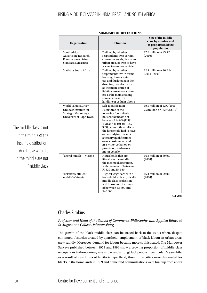| South African<br>Defined by whether<br>12,2 million or 23,5%<br><b>Advertising Research</b><br>respondents own certain<br>(2010)<br>Foundation - Living<br>consumer goods, live in an<br><b>Standards Measures</b><br>urban area, or own or have<br>access to a motor vehicle.<br><b>Statistics South Africa</b><br>Defined by whether<br>12,4 million or 26,2 %<br>$(2004 - 2006)$<br>respondents live in formal<br>housing; have a water<br>tap and flush toilet in the<br>dwelling; use electricity<br>as the main source of<br>lighting; use electricity or<br>gas as the main cooking<br>source; access to a<br>landline or cellular phone<br>Self-identification<br>19,9 million or 42% (2006)<br><b>World Values Survey</b><br>Unilever Institute for<br>Fulfil three of the<br>7,2 million or 13,9% (2012)<br>Strategic Marketing -<br>following four criteria:<br>University of Cape Town<br>household income of<br>between R14 000 (US\$1<br>493) and R50 000 (US\$5<br>333) per month; adults in<br>the household had to have<br>or be studying towards<br>a tertiary qualification;<br>own a business or work<br>in a white-collar job or<br>profession; and own a<br>motor vehicle<br>'Literal middle' - Visagie<br>Households that are<br>16,8 million or 30,9%<br>(2008)<br>literally in the middle of<br>the income distribution,<br>with incomes of between<br>R1520 and R4 560.<br>'Relatively affluent<br>Highest wage earner in a<br>16,4 million or 29,9%<br>middle' - Visagie<br>household with a 'typically<br>(2008)<br>middle class profession'<br>and household incomes<br>of between R5 600 and<br>R40 000 | <b>Organisation</b> | <b>Definition</b> | Size of the middle<br>class by number and<br>as proportion of the<br>population |
|---------------------------------------------------------------------------------------------------------------------------------------------------------------------------------------------------------------------------------------------------------------------------------------------------------------------------------------------------------------------------------------------------------------------------------------------------------------------------------------------------------------------------------------------------------------------------------------------------------------------------------------------------------------------------------------------------------------------------------------------------------------------------------------------------------------------------------------------------------------------------------------------------------------------------------------------------------------------------------------------------------------------------------------------------------------------------------------------------------------------------------------------------------------------------------------------------------------------------------------------------------------------------------------------------------------------------------------------------------------------------------------------------------------------------------------------------------------------------------------------------------------------------------------------------------------------------------------------------------------------------------------|---------------------|-------------------|---------------------------------------------------------------------------------|
|                                                                                                                                                                                                                                                                                                                                                                                                                                                                                                                                                                                                                                                                                                                                                                                                                                                                                                                                                                                                                                                                                                                                                                                                                                                                                                                                                                                                                                                                                                                                                                                                                                       |                     |                   |                                                                                 |
|                                                                                                                                                                                                                                                                                                                                                                                                                                                                                                                                                                                                                                                                                                                                                                                                                                                                                                                                                                                                                                                                                                                                                                                                                                                                                                                                                                                                                                                                                                                                                                                                                                       |                     |                   |                                                                                 |
|                                                                                                                                                                                                                                                                                                                                                                                                                                                                                                                                                                                                                                                                                                                                                                                                                                                                                                                                                                                                                                                                                                                                                                                                                                                                                                                                                                                                                                                                                                                                                                                                                                       |                     |                   |                                                                                 |
|                                                                                                                                                                                                                                                                                                                                                                                                                                                                                                                                                                                                                                                                                                                                                                                                                                                                                                                                                                                                                                                                                                                                                                                                                                                                                                                                                                                                                                                                                                                                                                                                                                       |                     |                   |                                                                                 |
|                                                                                                                                                                                                                                                                                                                                                                                                                                                                                                                                                                                                                                                                                                                                                                                                                                                                                                                                                                                                                                                                                                                                                                                                                                                                                                                                                                                                                                                                                                                                                                                                                                       |                     |                   |                                                                                 |
|                                                                                                                                                                                                                                                                                                                                                                                                                                                                                                                                                                                                                                                                                                                                                                                                                                                                                                                                                                                                                                                                                                                                                                                                                                                                                                                                                                                                                                                                                                                                                                                                                                       |                     |                   | CDF 2013                                                                        |

#### **SUMMARY OF DEFINITIONS**

**CDE 2013**

# Charles Simkins

*Professor and Head of the School of Commerce, Philosophy, and Applied Ethics at St Augustine's College, Johannesburg*

The growth of the black middle class can be traced back to the 1970s when, despite continued obstacles created by apartheid, employment of black labour in urban areas grew rapidly. Moreover, demand for labour became more sophisticated. The Manpower Surveys published between 1973 and 1996 show a growing proportion of middle class occupations in the economy as a whole, and among black people in particular. Meanwhile, as a result of new forms of territorial apartheid, three universities were designated for blacks in the homelands in 1959 and homeland administrations were built up from about

The middle class is not in the middle of the income distribution. And those who are in the middle are not 'middle class'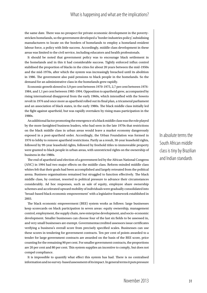the same date. There was no prospect for private economic development in the povertystricken homelands, so the government developed a 'border industries policy', subsidising manufacturers to locate on the borders of homelands to employ a homeland-resident labour force, a policy with little success. Accordingly, middle class development in these areas was limited to the civil service, including educators and health professionals.

It should be noted that government policy was to encourage black settlement in the homelands and in this it had considerable success. Tightly enforced influx control stabilised the proportion of blacks in the cities for about 20 years between the mid-1950s and the mid-1970s, after which the system was increasingly breached until its abolition in 1986. The government also paid pensions to black people in the homelands. So the demand for an administrative class in the homelands grew rapidly.

Economic growth slowed to 3,9 per cent between 1970-1975, 2,7 per cent between 1976- 1984, and 1,1 per cent between 1985-1994. Opposition to apartheid grew, accompanied by rising international disapproval from the early 1960s, which intensified with the Soweto revolt in 1976 and once more as apartheid rolled out its final plan, a tricameral parliament and an association of black states, in the early 1980s. The black middle class initially led the fight against apartheid, but was rapidly overtaken by rising mass participation in the 1980s.

An additional factor promoting the emergence of a black middle class was the role played by the more farsighted business leaders, who had seen in the late 1970s that restrictions on the black middle class in urban areas would leave a market economy dangerously exposed in a post-apartheid order. Accordingly, the Urban Foundation was formed in 1976 to lobby to remove apartheid restrictions. Partly as a result, 30-year leasehold rights, followed by 99-year leasehold rights, followed by freehold titles to immoveable property were granted to black people in urban areas, with unrestricted rights on the ownership of business in the 1980s.

The end of apartheid and election of a government led by the African National Congress (ANC) in 1994 had two major effects on the middle class. Reform-minded middle class whites felt that their goals had been accomplished and largely retreated from the political arena. Business organisations remained but struggled to function effectively. The black middle class, by contrast, resorted to political pressure to advance their circumstances considerably. Ad hoc responses, such as sale of equity, employee share ownership schemes and accelerated upward mobility of individuals were gradually consolidated into 'broad-based black economic empowerment' with a legislative framework established in 2003.

The black economic empowerment (BEE) system works as follows: large businesses keep scorecards on black participation in seven areas: equity ownership, management control, employment, the supply chain, new enterprise development, and socio-economic development. Smaller businesses can choose four of the last six fields to be assessed in, and very small businesses are exempt. Governmentaccredited assessors issue certificates verifying a business's overall score from precisely specified scales. Businesses can use these scores in tendering for government contracts. Ten per cent of points awarded to a tender for large government contracts are awarded on the basis of the BEE score, price counting for the remaining 90 per cent. For smaller government contracts, the proportions are 20 per cent and 80 per cent. This system supplies an incentive to comply, but does not compel compliance.

It is impossible to quantify what effect this system has had. There is no centralised information and no survey-based assessment of its impact. In general terms it puts pressure

In absolute terms the South African middle class is tiny by Brazilian and Indian standards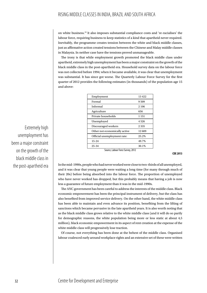on white business.19 It also imposes substantial compliance costs and 're-racialises' the labour force, requiring business to keep statistics of a kind that apartheid never required. Inevitably, the programme creates tension between the white and black middle classes, just as affirmative action created tensions between the Chinese and Malay middle classes in Malaysia. In neither case have the tensions proved unmanageable.

The irony is that while employment growth promoted the black middle class under apartheid, extremely high unemployment has been a major constraint on the growth of the black middle class in the post-apartheid era. Household survey data on the labour force was not collected before 1994; when it became available, it was clear that unemployment was substantial. It has since got worse. The Quarterly Labour Force Survey for the first quarter of 2012 provides the following estimates (in thousands) of the population age 15 and above:

| Employment                    | 13422   |
|-------------------------------|---------|
| Formal                        | 9509    |
| Informal                      | 2 106   |
| Agriculture                   | 656     |
| Private households            | 1 1 5 1 |
| Unemployed                    | 4526    |
| Discouraged workers           | 2335    |
| Other not economically active | 12609   |
| Official unemployment rate:   | 25.2%   |
| $15-24$                       | 49.7%   |
| 25-34                         | 30.1%   |

Source, Labour Force Survey, 2012

**CDE 2013**

In the mid-1990s, people who had never worked were close to two-thirds of all unemployed, and it was clear that young people were waiting a long time (for many through much of their 20s) before being absorbed into the labour force. The proportion of unemployed who have never worked has dropped, but this probably means that having a job is now less a guarantee of future employment than it was in the mid-1990s.

The ANC government has been careful to address the interests of the middle class. Black economic empowerment has been the principal instrument of delivery, but the class has also benefited from improved service delivery. On the other hand, the white middle class has been able to maintain and even advance its position, benefiting from the lifting of sanctions which became pervasive in the late apartheid years. It is also worth noting that as the black middle class grows relative to the white middle class (and it will do so partly for demographic reasons, the white population being more or less static at about 4,5 million), black economic empowerment in its aspect of rent creation at the expense of the white middle class will progressively lose traction.

Of course, not everything has been done at the behest of the middle class. Organised labour coalesced early around workplace rights and an extensive set of these were written

Extremely high unemployment has been a major constraint on the growth of the black middle class in the post-apartheid era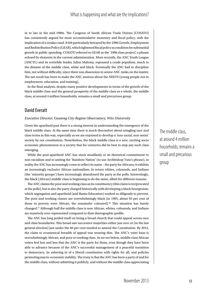in to law in the mid-1990s. The Congress of South African Trade Unions (COSATU) has consistently argued for more accommodative monetary and fiscal policy, with the implication of a weaker rand. It felt particularly betrayed by the 1996 Growth, Employment and Redistribution Policy (GEAR), which tightened fiscal policy as condition for substantial growth in public spending. COSATU referred to GEAR as the '1996 class project', a phrase echoed by elements in the current administration. More recently, the ANC Youth League (ANCYL) and its erstwhile leader, Julius Malema, espoused a crude populism, much to the distaste of the middle class, white and black. Eventually the ANC had to discipline him, not without difficulty, since there was dissension in senior ANC ranks on the matter. The net result has been to make the ANC anxious about the NEETS (young people not in employment, education, and training).

In the final analysis, despite many positive developments in terms of the growth of the black middle class and the general prosperity of the middle class as a whole, the middle class, at around 4 million households, remains a small and precarious group.

## David Everatt

#### *Executive Director, Gauteng City-Region Observatory, Wits University*

Given the apartheid past there is a strong interest in understanding the emergence of the black middle class. At the same time there is much discomfort about mingling race and class terms in this way, especially as we are enjoined to develop a 'non-racial, non-sexist' society by our constitution. Nonetheless, the black middle class is a new, exciting socio economic phenomenon in a society that for centuries did its best to stop any such class emerging.

While the post-apartheid ANC has stuck steadfastly to its rhetorical commitment to non-racialism and to uniting the 'Rainbow Nation' (to use Archbishop Tutu's phrase), in reality the ANC has increasingly come to reflect its name – the party for Africans; it exhibits an increasingly exclusive African nationalism. In return whites, coloureds, and Indians (the 'minority groups') have increasingly abandoned the party at the polls. Interestingly, the black (African) middle class is beginning to do the same, albeit for different reasons.

The ANC claims the poor and working class as its constituency (this claim is reciprocated at the polls), but is also the party charged historically with developing a black bourgeoisie, which segregation and apartheid (and Bantu Education) worked so diligently to prevent. The poor and working classes are overwhelmingly black (in 1995, about 95 per cent of those in poverty were African, the remainder coloured).<sup>20</sup> This situation has barely changed.21 Although half the middle class is now African, whites, coloureds, and Indians are massively over-represented compared to their demographic profile.

The ANC has long prided itself on being a broad church that could appeal across race and class boundaries. This broad saw successive majorities either just over or (in the last general election) just under the 66 per cent needed to amend the Constitution. By 2012, the claim to ecumenical breadth of appeal was wearing thin. The ANC's voter base is overwhelmingly African, and poor or working class. As we see below, middle class African voters feel less and less that the ANC is the party for them, even though they have been able to advance because of the ANC's successful management of a peaceful transition to democracy, its ushering in of a liberal constitution with rights for all, and policies promoting macro-economic stability. The irony is that the ANC has been a party of and for the middle class, without admitting it publicly, and without the middle class appreciating The middle class, at around 4 million households, remains a small and precarious group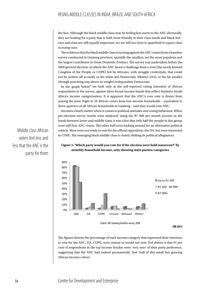the fact. Although the black middle class may be feeling less warm to the ANC electorally, they are looking for a party that is both more friendly to their class needs and black-led – race and class are still equally important; we are still too close to apartheid to expect class to trump race.

The evidence that the black middle class is turning against the ANC comes from a baseline survey conducted in Gauteng province, spatially the smallest, yet the most populous and the largest contributor to Gross Domestic Product. The survey was undertaken before the 2009 general election, in which the ANC faced a challenge from a rival (the newly formed Congress of the People or COPE) led by Africans, with struggle credentials, that could not be written off as easily as the white-led Democratic Alliance (DA), or the far smaller (though punching way above its weight) Independent Democrats.

In the graph below<sup>22</sup> we look only at the self-reported voting intention of African respondents in the survey, against three broad income bands that reflect Statistics South Africa's income categorisation. It is apparent that the ANC's core vote is drawn from among the poor. Eight in 10 African voters from low-income households – equivalent to three-quarters of all African households in Gauteng – said they would vote ANC.

Incomes clearly matter when it comes to political attitudes and voting behaviour. When pre-election survey results were analysed, using the R7 000 per month income as the break between lower and middle class, it was clear that only half the people in this group were still firm ANC voters. The other half were looking around for an alternative political vehicle. Most were not ready to vote for the official opposition, the DA, but were interested in COPE. The emerging black middle class is clearly shifting its political allegiances.

Middle class African voters feel less and less that the ANC is the party for them

#### F**igure 1: 'Which party would you vote for if the election were held tomorrow?' by monthly household income, only showing main parties/categories**



The figures denote the percentage of each income category that expressed their intention to vote for the ANC, DA, COPE, were unsure or would not vote. Not shown is that 91 per cent of respondents in the top income bracket were 'very sure' of their party preference, suggesting that the ANC had indeed permanently 'lost' half of this small but growing African income cohort.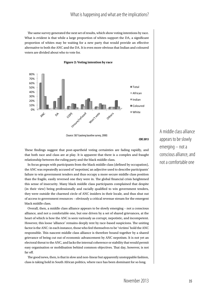## What is happening and what are the implications?

The same survey generated the next set of results, which show voting intentions by race. What is evident is that while a large proportion of whites support the DA, a significant proportion of whites may be waiting for a new party that would provide an effective alternative to both the ANC and the DA. It is even more obvious that Indian and coloured voters are divided about who to vote for.





These findings suggest that post-apartheid voting certainties are fading rapidly, and that both race and class are at play. It is apparent that there is a complex and fraught relationship between the ruling party and the black middle class.

In focus groups with participants from the black middle class (defined by occupation), the ANC was repeatedly accused of 'nepotism', an adjective used to describe participants' failure to win government tenders and thus occupy a more secure middle class position than the fragile, easily reversed one they were in. The global financial crisis heightened this sense of insecurity. Many black middle class participants complained that despite (in their view) being professionally and racially qualified to win government tenders, they were outside the charmed circle of ANC insiders in their locale, and thus shut out of access to government resources – obviously a critical revenue stream for the emergent black middle class.

Overall, then, a middle class alliance appears to be slowly emerging – not a conscious alliance, and not a comfortable one, but one driven by a set of shared grievances, at the heart of which is how the ANC is seen variously as corrupt, nepotistic, and incompetent. However, this loose 'alliance' remains deeply rent by race-based suspicions. The uniting factor is the ANC: in each instance, those who feel themselves to be 'victims' hold the ANC responsible. This nascent middle class alliance is therefore bound together by a shared grievance of being cut out of economic advancement by ANC nepotism. It is not yet an electoral threat to the ANC, and lacks the internal coherence or stability that would permit easy organisation or mobilisation behind common objectives. That day, however, is not far off.

The good news, then, is that in slow and non-linear but apparently unstoppable fashion, class is taking hold in South African politics, where race has been dominant for so long.

A middle class alliance appears to be slowly emerging – not a conscious alliance, and not a comfortable one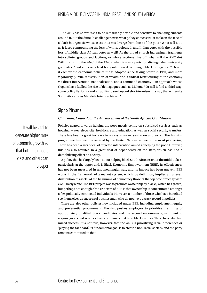The ANC has shown itself to be remarkably flexible and sensitive to changing currents around it. But the difficult challenge now is what policy choices will it make in the face of a black bourgeoisie whose class interests diverge from those of the poor? What will it do as it faces compounding the loss of white, coloured, and Indian votes with the possible loss of middle class African votes as well? As the broad church increasingly fragments into splinter groups and factions, or whole sections hive off, what will the ANC do? Will it return to the ANC of the 1940s, when it was a party for 'distinguished university graduates<sup>'23</sup> and a liberal, elitist body intent on developing a black bourgeoisie? Or will it eschew the economic policies it has adopted since taking power in 1994, and more vigorously pursue redistribution of wealth and a radical restructuring of the economy via direct intervention, nationalisation, and a command economy – an approach whose slogans have fuelled the rise of demagogues such as Malema? Or will it find a 'third way', some policy flexibility and an ability to see beyond short-termism in a way that will unite South Africans, as Mandela briefly achieved?

## Sipho Pityana

#### *Chairman, Council for the Advancement of the South African Constitution*

Policies geared towards helping the poor mostly centre on subsidised services such as housing, water, electricity, healthcare and education as well as social security transfers. There has been a great increase in access to water, sanitation and so on. The housing programme has been recognised by the United Nations as one of the most pioneering. There has been a great deal of targeted intervention aimed at helping the poor. However, this has also resulted in a great deal of dependency on the state, which has had a demobilising effect on society.

A policy that has largely been about helping black South Africans enter the middle class, particularly at the upper end, is Black Economic Empowerment (BEE). Its effectiveness has not been measured in any meaningful way, and its impact has been uneven. BEE works in the framework of a market system, which, by definition, implies an uneven distribution of assets. At the beginning of democracy those at the top economically were exclusively white. The BEE project was to promote ownership by blacks, which has grown, but perhaps not enough. One criticism of BEE is that ownership is concentrated amongst a few politically-connected individuals. However, a number of those who have benefited see themselves as successful businessmen who do not have a track record in politics.

There are also other policies now included under BEE, including employment equity and preferential procurement. The first pushes employers to prioritise the hiring of appropriately qualified black candidates and the second encourages government to acquire goods and services from companies that have black owners. These have also had mixed success. It is not true, however, that the ANC is prioritising racial differences or 'playing the race card'. Its fundamental goal is to create a non-racial society, and the party remains committed to that.

It will be vital to generate higher rates of economic growth so that both the middle class and others can prosper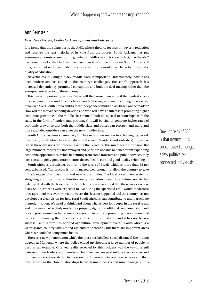## Ann Bernstein

#### *Executive Director, Centre for Development and Enterprise*

It is ironic that the ruling party, the ANC, whose rhetoric focuses on poverty reduction and receives the vast majority of its vote from the poorest South Africans, has put enormous amounts of energy into growing a middle class. It is clear, in fact, that the ANC has done more for the black middle class than it has done for poorer South Africans. If the government really cared about the poor its priority would have been to improve the quality of education.

Nevertheless, building a black middle class is important. Unfortunately, how it has been undertaken has added to the country's challenges. The state's approach has increased dependency, promoted corruption, and built the deal-making rather than the entrepreneurial sector of the economy.

This raises important questions. What will the consequences be if the loudest voices in society are urban middle class black South Africans, who are becoming increasingly organised? Will South Africa build a more independent middle class based on the market? How will the market economy develop and who will have an interest in promoting higher economic growth? Will the middle class remain built on 'special relationships' with the state, in the form of tenders and patronage? It will be vital to generate higher rates of economic growth so that both the middle class and others can prosper, and more and more excluded outsiders can enter the new middle class.

South Africa has been a democracy for 18 years, and we are now in a challenging period. Like Brazil, South Africa has sharp divisions between 'insiders' and 'outsiders', but, unlike Brazil, these divisions are hardening rather than eroding. This might seem surprising. But large numbers, mostly the unemployed and poor, are not able to benefit from expanding economic opportunities. While benefitting from some transfers and public services, they lack access to jobs, good infrastructure, decent health care and good quality schooling.

South Africa is urbanising, but not to the levels of Brazil, which is more than 85 per cent urbanised. The process is not managed well enough to allow the country to take full advantage of its dynamism and new opportunities. The local government system is struggling and most local authorities are quite dysfunctional. In addition, society has failed to deal with the legacy of the homelands. It was assumed that these areas – where black South Africans were expected to live during the apartheid era – would modernise once apartheid was overthrown. However, this has not happened and the country has not developed a clear vision for how rural South Africans can contribute to and participate in modernisation. We need to think hard about what is best for people in the rural areas, and how we can effectively modernise property rights in traditional rural areas. Our land reform programme has had some successes but in terms of promoting black commercial farmers or changing the life chances of those now on restored land it has not been a success. Land reform has harmed agricultural development overall. South Africa is a water-scarce country with limited agricultural potential, but there are important areas where we could be doing much better.

There is a new phenomenon which the press has labelled 'social distance'. The mining tragedy at Marikana, where the police ended up shooting a large number of people, is used as an example. One key reality revealed by this incident was the yawning gulf between union leaders and members. Union leaders are paid middle class salaries and ordinary workers have started to question the difference between these salaries and their own, as well as the close relationships between union bosses and mine managers. This One criticism of BEE is that ownership is concentrated amongst a few politicallyconnected individuals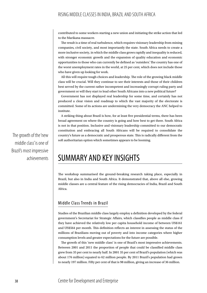contributed to some workers starting a new union and initiating the strike action that led to the Marikana massacre.

The result is a time of real turbulence, which requires visionary leadership from mining companies, civil society, and most importantly the state. South Africa needs to create a more inclusive society, in which the middle class grows rapidly and inequality is reduced, with stronger economic growth and the expansion of quality education and economic opportunities to those who can currently be defined as 'outsiders'. The country has one of the worst unemployment rates in the world, at 25 per cent, which does not include those who have given up looking for work.

All this will require tough choices and leadership. The role of the growing black middle class will be crucial. Will they continue to see their interests and those of their children best served by the current rather incompetent and increasingly corrupt ruling party and government or will they start to lead other South Africans into a new political future?

Government has not displayed real leadership for some time, and certainly has not produced a clear vision and roadmap to which the vast majority of the electorate is committed. Some of its actions are undermining the very democracy the ANC helped to institute.

A striking thing about Brazil is how, for at least five presidential terms, there has been broad agreement on where the country is going and how best to get there. South Africa is not in that position. Inclusive and visionary leadership committed to our democratic constitution and embracing all South Africans will be required to consolidate the country's future as a democratic and prosperous state. This is radically different from the soft authoritarian option which sometimes appears to be looming.

# SUMMARY AND KEY INSIGHTS

The workshop summarised the ground-breaking research taking place, especially in Brazil, but also in India and South Africa. It demonstrated that, above all else, growing middle classes are a central feature of the rising democracies of India, Brazil and South Africa.

## Middle Class Trends in Brazil

Studies of the Brazilian middle class largely employ a definition developed by the federal government's Secretariat for Strategic Affairs, which classifies people as middle class if they have achieved the relatively low per capita household income of between US\$161 and US\$564 per month. This definition reflects an interest in assessing the status of the millions of Brazilians moving out of poverty and into income categories where higher consumption levels and greater expectations for the future are possible.

The growth of this 'new middle class' is one of Brazil's most impressive achievements. Between 2001 and 2011 the proportion of people that could be classified middle class grew from 35 per cent to nearly half. In 2001 35 per cent of Brazil's population (which was about 176 million) equated to 62 million people. By 2011 Brazil's population had grown to nearly 197 million. Fifty per cent of that is 98 million, giving an increase of 36 million.

The growth of the 'new middle class' is one of Brazil's most impressive achievements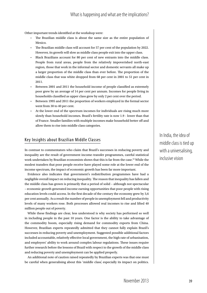Other important trends identified at the workshop were:

- The Brazilian middle class is about the same size as the entire population of Mexico.
- The Brazilian middle class will account for 57 per cent of the population by 2022. However, its growth will slow as middle class people exit into the upper class.
- Black Brazilians account for 80 per cent of new entrants into the middle class. People from rural areas, people from the relatively impoverished north-east region, those that work in the informal sector and domestic servants all make up a larger proportion of the middle class than ever before. The proportion of the middle class that was white dropped from 68 per cent in 2001 to 51 per cent in 2011.
- Between 2001 and 2011 the household income of people classified as extremely poor grew by an average of 14 per cent per annum. Incomes for people living in households classified as upper class grew by only 2 per cent over the period.
- Between 1995 and 2011 the proportion of workers employed in the formal sector went from 30 to 40 per cent.
- At the lower end of the spectrum incomes for individuals are rising much more slowly than household incomes. Brazil's fertility rate is now 1.9 - lower than that of France. Smaller families with multiple incomes make household better off and allow them to rise into middle class categories.

## Key Insights about Brazilian Middle Classes

In contrast to commentators who claim that Brazil's successes in reducing poverty and inequality are the result of government income-transfer programmes, careful statistical work undertaken by Brazilian economists shows that this is far from the case.<sup>24</sup> While the modest transfers that poor people receive have played some role at the lower end of the income spectrum, the impact of economic growth has been far more important.

Evidence also indicates that government's redistribution programmes have had a negligible overall impact on reducing inequality. The reason that inequality has fallen and the middle class has grown is primarily that a period of solid – although not spectacular – economic growth generated income earning opportunities that poor people with rising education levels could access. In the first decade of the century the economy grew by 3,6 per cent annually. As a result the number of people in unemployment fell and productivity levels of many workers rose. Both processes allowed real incomes to rise and lifted 40 million people out of poverty.

While these findings are clear, less understood is why society has performed so well in including people in the past 10 years. One factor is the ability to take advantage of the commodity boom, especially rising demand for commodity exports from China. However, Brazilian experts repeatedly admitted that they cannot fully explain Brazil's successes in reducing poverty and unemployment. Suggested possible additional factors included accountable, relatively effective local government, the high rate of urbanisation, and employers' ability to work around complex labour regulations. These issues require further research before the lessons of Brazil with respect to the growth of the middle class and reducing poverty and unemployment can be applied properly.

An additional note of caution raised repeatedly by Brazilian experts was that one must be careful when generalising about this 'middle class', especially its impact on politics.

In India, the idea of middle class is tied up with a universalising, inclusive vision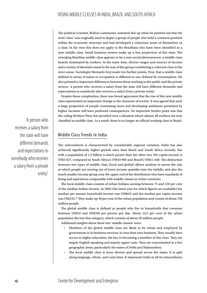The political scientist, Bolivar Lamounier, summed this up when he pointed out that the term 'class' was originally used to depict a group of people who held a common position within the economic structure and had developed a conscious sense of themselves as a class. In his view this does not apply to the Brazilians who have been identified as a new middle class. Small business owners make up a tiny proportion of this class. The emerging Brazilian middle class appears to be a new social phenomenon: a middle class heavily dominated by workers. At the same time, diverse ranges and sources of income and a variety of identities stand in the way of this group constituting a coherent class in the strict sense. Sociologist Bernardo Sorj made two further points. First, that a middle class defined in terms of status or occupation is different to one defined by consumption. He also pointed to important differences between those working in the public and the private sectors: 'a person who receives a salary from the state will have different demands and expectations to somebody who receives a salary from a private entity'.

Despite these complexities, there was broad agreement that the rise of this new middle class represented an important change in the character of society. It was agreed that such a large proportion of people consuming more and developing ambitions permitted by higher incomes will have profound consequences. An important further point was that the ruling Workers Party has presided over a situation where almost all workers are now classified as middle class. As a result, there is no longer an official working class in Brazil.

# Middle Class Trends in India

The subcontinent is characterised by considerable regional variation. India has also achieved significantly higher growth rates than Brazil and South Africa recently, but with a population of 1,2 billion is much poorer than the other two. Per capita income is US\$3 627, compared to South Africa's US\$10 960 and Brazil's US\$11 640. The distinction between two types of middle class (local and global) allows analysts to assess the rate at which people are moving out of lower income quintiles into the middle, and also the much smaller income group near the upper end of the distribution who have standards of living and aspirations comparable with middle classes in richer countries.

The local middle class consists of urban Indians earning between 75 and 150 per cent of the median Indian income. In 2005 (the latest year for which figures are available) the median per annum household income was US\$652 and the median per capita income was US\$125.25 They make up 40 per cent of the urban population and consist of about 150 million people.

The global middle class is defined as people who live in households that consume between US\$10 and US\$100 per person per day. About 12,5 per cent of the urban population fits into this category, which consists of about 50 million people.

Additional insights about these two 'middle classes' were:

- Members of the global middle class are likely to be urban and employed by government or in business services, or own their own business. They usually have access to higher education, the key to becoming a member of this class. They are largely English-speaking and mainly upper caste. They are concentrated in a few geographic areas, particularly the states of Delhi and Maharashtra.
- The local middle class is more diverse and spread across the states. It is split along language, ethnic, and caste lines. It represents India in all its extraordinary

'A person who receives a salary from the state will have different demands and expectations to somebody who receives a salary from a private entity'.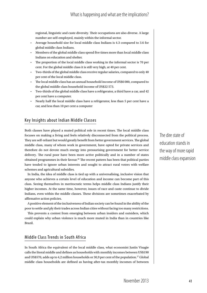regional, linguistic and caste diversity. Their occupations are also diverse. A large number are self-employed, mainly within the informal sector.

- Average household size for local middle class Indians is 4.3 compared to 3.6 for global middle class Indians.
- Members of the global middle class spend five times more than local middle class Indians on education and shelter.
- The proportion of the local middle class working in the informal sector is 70 per cent. For the global middle class it is still very high, at 40 per cent.
- Two-thirds of the global middle class receive regular salaries, compared to only 40 per cent of the local middle class.
- The local middle class has an annual household income of US\$6 000, compared to the global middle class household income of US\$22 573.
- Two-thirds of the global middle class have a refrigerator, a third have a car, and 42 per cent have a computer.
- Nearly half the local middle class have a refrigerator, less than 5 per cent have a car, and less than 10 per cent a computer

## Key Insights about Indian Middle Classes

Both classes have played a muted political role in recent times. The local middle class focuses on making a living and feels relatively disconnected from the political process. They are self-reliant but would greatly benefit from better government services. The global middle class, many of whom work in government, have opted for private services and therefore do not devote much energy into pressurising government for better service delivery. The rural poor have been more active politically and in a number of states obtained programmes in their favour.<sup>26</sup> The recent pattern has been that political parties have tended to ignore urban interests and sought to attract rural voters with welfare schemes and agricultural subsidies.

In India, the idea of middle class is tied up with a universalising, inclusive vision that anyone who achieves a certain level of education and income can become part of this class. Seeing themselves in meritocratic terms helps middle class Indians justify their higher incomes. At the same time, however, issues of race and caste continue to divide Indians, even within the middle classes. These divisions are sometimes exacerbated by affirmative action policies.

A positive element of the inclusiveness of Indian society can be found in the ability of the poor to settle and ply their trades across Indian cities without facing too many restrictions.

This prevents a contest from emerging between urban insiders and outsiders, which could explain why urban violence is much more muted in India than in countries like Brazil.

## Middle Class Trends in South Africa

In South Africa the equivalent of the local middle class, what economist Justin Visagie calls the literal middle and defines as households with monthly incomes between US\$190 and US\$570, adds up to 4,2 million households or 30,9 per cent of the population.<sup>27</sup> Global middle class households are defined as having after-tax monthly incomes of between The dire state of education stands in the way of more rapid middle class expansion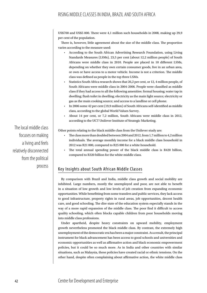US\$700 and US\$5 000. There were 4,1 million such households in 2008, making up 29,9 per cent of the population.

There is, however, little agreement about the size of the middle class. The proportion varies according to the measure used:

- According to the South African Advertising Research Foundation, using Living Standards Measures (LSMs), 23,5 per cent (about 12,2 million people) of South Africans were middle class in 2010. People are placed in 10 different LSMs, depending on whether they own certain consumer goods, live in an urban area, or own or have access to a motor vehicle. Income is not a criterion. The middle class was defined as people in the top three LSMs.
- Statistics South Africa research shows that 26,2 per cent, or 12, 4 million people, of South Africans were middle class in 2004-2006. People were classified as middle class if they had access to all the following amenities: formal housing; water tap in dwelling; flush toilet in dwelling; electricity as the main light source; electricity or gas as the main cooking source; and access to a landline or cell phone.
- In 2006 some 42 per cent (19,9 million) of South Africans self-identified as middle class, according to the global World Values Survey.
- About 14 per cent, or 7,2 million, South Africans were middle class in 2012, according to the UCT Unilever Institute of Strategic Marketing.

Other points relating to the black middle class from the Unilever study are:

- The class more than doubled between 2004 and 2012, from 1,7 million to 4,2 million individuals. The average monthly income for a black middle class household in 2012 was R21 000, compared to R25 000 for a white household.
- The total annual spending power of the black middle class is R420 billion, compared to R320 billion for the white middle class.

## Key Insights about South African Middle Classes

By comparison with Brazil and India, middle class growth and social mobility are inhibited. Large numbers, mostly the unemployed and poor, are not able to benefit in a situation of low growth and low levels of job creation from expanding economic opportunities. While benefitting from some transfers and public services, they lack access to good infrastructure, property rights in rural areas, job opportunities, decent health care, and good schooling. The dire state of the education system especially stands in the way of a more rapid expansion of the middle class. The poor find it difficult to access quality schooling, which often blocks capable children from poor households moving into middle class professions.

Under apartheid, despite heavy constraints on upward mobility, employment growth nevertheless promoted the black middle class. By contrast, the extremely high unemployment of the democratic era has been a major constraint. As a result, the principal instrument for black advancement has been access to good schools and universities and economic opportunities as well as affirmative action and black economic empowerment policies, but it could be so much more. As in India and other countries with similar situations, such as Malaysia, these policies have created racial or ethnic tensions. On the other hand, despite often complaining about affirmative action, the white middle class

The local middle class focuses on making a living and feels relatively disconnected from the political process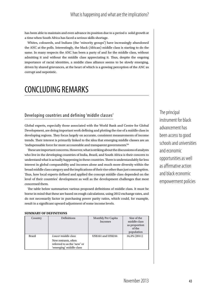has been able to maintain and even advance its position due to a period o solid growth at a time when South Africa has faced a serious skills shortage.

Whites, coloureds, and Indians (the 'minority groups') have increasingly abandoned the ANC at the polls. Interestingly, the black (African) middle class is starting to do the same. In many respects the ANC has been a party of and for the middle class, without admitting it and without the middle class appreciating it. Thus, despite the ongoing importance of racial identities, a middle class alliance seems to be slowly emerging, driven by shared grievances, at the heart of which is a growing perception of the ANC as corrupt and nepotistic.

# CONCLUDING REMARKS

## Developing countries and defining 'middle classes'

Global experts, especially those associated with the World Bank and Centre for Global Development, are doing important work defining and plotting the rise of a middle class in developing regions. They focus largely on accurate, consistent measurements of income trends. Their interest is primarily linked to the idea that emerging middle classes are an 'indispensable force for more accountable and transparent governments.<sup>28</sup>

These are important concerns. However, what is striking about the discussions of analysts who live in the developing countries of India, Brazil, and South Africa is their concern to understand what is actually happening in these countries. There is understandably far less interest in global comparability and incomes alone and much more diversity within the broad middle class category and the implications of their rise other than just consumption. Thus, how local experts defined and applied the concept middle class depended on the level of their countries' development as well as the development challenges that most concerned them.

The table below summarises various proposed definitions of middle class. It must be borne in mind that these are based on rough calculations, using 2012 exchange rates, and do not necessarily factor in purchasing power parity ratios, which could, for example, result in a significant upward adjustment of some income levels.

#### **SUMMARY OF DEFINITIONS**

| Country       | <b>Definitions</b>                                                                                  | Monthly Per Capita<br>Incomes | Size of the<br>middle class<br>as proportion<br>of the<br>population |
|---------------|-----------------------------------------------------------------------------------------------------|-------------------------------|----------------------------------------------------------------------|
| <b>Brazil</b> | Lower middle class<br>New entrants, often<br>referred to as the 'new' or<br>'emerging' middle class | US\$161 and US\$244           | 16,4% (2011)                                                         |

The principal instrument for black advancement has been access to good schools and universities and economic opportunities as well as affirmative action and black economic empowerment policies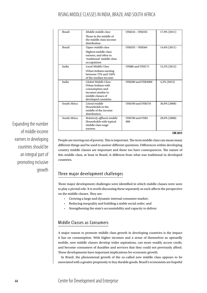| <b>Brazil</b> | Middle middle class                                                                                                            | US\$244 - US\$355               | 17,9% (2011)   |
|---------------|--------------------------------------------------------------------------------------------------------------------------------|---------------------------------|----------------|
|               | Those in the middle of<br>the middle class income<br>distribution                                                              |                                 |                |
| <b>Brazil</b> | Upper middle class                                                                                                             | US\$355 - US\$564               | 14,6% (2011)   |
|               | Highest middle class<br>earners, and often in<br>'traditional' middle class<br>occupations                                     |                                 |                |
| India         | Local Middle Class                                                                                                             | <b>US\$86 and US\$171</b>       | 12,5% (2012)   |
|               | Urban Indians earning<br>between 75% and 150%<br>of the median income                                                          |                                 |                |
| India         | Global Middle Class<br>Urban Indians with<br>consumption and<br>incomes similar to<br>middle classes of<br>developed countries | <b>US\$300 and US\$3000</b>     | $4,2\%$ (2012) |
| South Africa  | Literal middle<br>Households in the<br>middle of the income<br>distribution,                                                   | <b>US\$190 and US\$570</b>      | 30,9% (2008)   |
| South Africa  | Relatively affluent middle<br>Households with typical<br>middle class wage<br>earners                                          | <b>US\$700 and US\$5</b><br>000 | 29,9% (2008)   |

Expanding the number of middle income earners in developing countries should be an integral part of promoting inclusive growth

#### **CDE 2013**

People are moving out of poverty. This is important. The term middle class can mean many different things and be used to answer different questions. Differences within developing country middle classes are important and these too have consequences. The nature of this middle class, at least in Brazil, is different from what was traditional in developed countries.

## Three major development challenges

Three major development challenges were identified in which middle classes were seen to play a pivotal role. It is worth discussing these separately as each affects the perspective on the middle classes. They are:

- Growing a large and dynamic internal consumer market;
- Reducing inequality and building a stable social order; and
- Strengthening the state's accountability and capacity to deliver.

## Middle Classes as Consumers

A major reason to promote middle class growth in developing countries is the impact it has on consumption. With higher incomes and a sense of themselves as upwardly mobile, new middle classes develop wider aspirations, can more readily access credit, and become consumers of durables and services that they could not previously afford. These developments have important implications for economic growth.

In Brazil, the phenomenal growth of the so-called new middle class appears to be associated with a greater propensity to buy durable goods. Brazil's economists are hopeful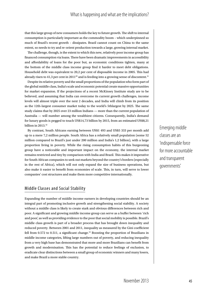that this large group of new consumers holds the key to future growth. The shift to internal consumption is particularly important as the commodity boom – which underpinned so much of Brazil's recent growth – dissipates. Brazil cannot count on China to the same extent, so needs to try and re-orient production towards a large, growing internal market.

The challenge, though, is the extent to which this new, relatively poor income group has financed consumption via loans. There have been dramatic improvements in accessibility and affordability of loans for the poor but, as economic conditions tighten, many at the bottom of the middle class income group find it harder to meet debt obligations. Household debt was equivalent to 20,2 per cent of disposable income in 2005. This had already risen to 41,3 per cent in 2011<sup>29</sup> and is feeding into a growing sense of discontent.<sup>31</sup>

Despite its relative poverty and the small proportions of the population who form part of the global middle class, India's scale and economic potential create massive opportunities for market expansion. If the projections of a recent McKinsey Institute study are to be believed, and assuming that India can overcome its current growth challenges, income levels will almost triple over the next 2 decades, and India will climb from its position as the 12th-largest consumer market today to the world's 5thlargest by 2025. The same study claims that by 2025 over 23 million Indians — more than the current population of Australia — will number among the wealthiest citizens. Consequently, India's demand for luxury goods is pegged to touch US\$14,73 billion by 2015, from an estimated US\$8,21 billion in 2013.<sup>32</sup>

By contrast, South Africans earning between US\$1 493 and US\$5 333 per month add up to a mere 7,2 million people. South Africa has a relatively small population (some 52 million compared to Brazil's just under 200 million and India's 1,2 billion), with a large proportion living in poverty. While the rising consumption habits of this burgeoning group have a noticeable and important impact on the economy, the internal market remains restricted and tiny by comparison with India and Brazil. This makes it imperative for South African companies to seek out markets beyond the country's borders (especially in the rest of Africa), which will not only expand the size of business operations, but also make it easier to benefit from economies of scale. This, in turn, will serve to lower companies' cost structures and make them more competitive internationally.

## Middle Classes and Social Stability

Expanding the number of middle income earners in developing countries should be an integral part of promoting inclusive growth and strengthening social stability. A society without a middle class is likely to create stark and obvious differences between rich and poor. A significant and growing middle income group can serve as a buffer between 'rich and poor', as well as providing evidence to the poor that social mobility is possible. Brazil's middle class growth is part of a broader process that has brought down inequality and reduced poverty. Between 2001 and 2011, inequality as measured by the Gini coefficient fell from 0.572 to 0.511, a significant change.<sup>33</sup> Boosting the proportion of Brazilians in middle income categories, lifting large numbers out of poverty, and reducing inequality from a very high base has demonstrated that more and more Brazilians can benefit from growth and modernisation. This has the potential to reduce feelings of exclusion, to eradicate clear distinctions between a small group of economic winners and many losers, and make Brazil a more stable country.

Emerging middle classes are an 'indispensable force for more accountable and transparent governments'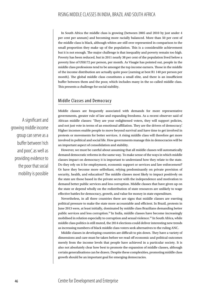In South Africa the middle class is growing (between 2005 and 2010 by just under 4 per cent per annum) and becoming more racially balanced. More than 50 per cent of the middle class is black, although whites are still over represented in comparison to the small proportion they make up of the population. This is a considerable achievement but it is not enough. The major challenge is that inequality and poverty remain too high. Poverty has been reduced, but in 2011 nearly 38 per cent of the population lived below a poverty line of US\$172 per person, per month. As Visagie has pointed out, people in the middle class professions tend to be amongst the top income earners. Those in the middle of the income distribution are actually quite poor (earning at best R1 140 per person per month). The global middle class constitutes a small elite, and there is an insufficient buffer between them and the poor, which includes many in the so-called middle class. This presents a challenge for social stability.

### Middle Classes and Democracy

Middle classes are frequently associated with demands for more representative governments, greater rule of law and expanding freedoms. As a recent observer said of African middle classes: 'They are your enlightened voters, they will support policies, and not just vote in terms of an emotional affiliation. They are the drivers of democracy'. Higher incomes enable people to move beyond survival and have time to get involved in protests or movements for better services. A rising middle class will therefore get more involved in political and social life. How governments manage this in democracies will be an important aspect of consolidation and stability.

However, we must be careful about assuming that all middle classes will automatically demand democratic reforms in the same way. To make sense of the ways in which middle classes impact on democracy it is important to understand how they relate to the state. Do they rely on it for employment, economic support or services and law enforcement? Or have they become more selfreliant, relying predominantly on private provision of security, health, and education? The middle classes most likely to impact positively on the state are those based in the private sector with the independence and motivation to demand better public services and less corruption. Middle classes that have given up on the state or depend wholly on the redistribution of state resources are unlikely to wage effective battles for democracy, growth, and value for money in state expenditure.

Nevertheless, in all three countries there are signs that middle classes are exerting political pressure to make the state more accountable and efficient. In Brazil, protests in June 2013 were, at least initially, dominated by middle class Brazilians demanding better public services and less corruption.<sup>34</sup> In India, middle classes have become increasingly mobilised in relation especially to corruption and sexual violence.<sup>35</sup> In South Africa, while middle class politics is still muted, the 2014 elections could deliver interesting new trends as increasing numbers of black middle class voters seek alternatives to the ruling ANC.

Middle classes in developing countries are difficult to pin down. They have a variety of dimensions and care must be taken before we read off economic and political outcomes merely from the income levels that people have achieved in a particular society. It is also not absolutely clear how best to promote the expansion of middle classes, although certain generalisations can be drawn. Despite these complexities, promoting middle class growth should be an important goal for emerging democracies.

A significant and growing middle income group can serve as a buffer between 'rich and poor', as well as providing evidence to the poor that social mobility is possible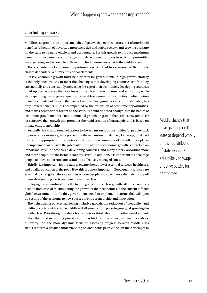### Concluding remarks

Middle class growth is an important policy objective that may lead to a series of interlinked benefits: reduction of poverty, a more inclusive and stable society, and growing pressure on the state to be more efficient and accountable. For this growth to produce maximum benefits, it must emerge out of a dynamic development process in which opportunities are expanding and accessible to those who find themselves outside the middle class.

The accessibility of economic opportunities which lead to expansion of the middle classes depends on a number of critical elements.

Firstly, economic growth must be a priority for governments. A high growth strategy is the only effective way to meet the challenges that developing countries confront. By substantially and consistently increasing the size of their economies, developing countries build up the resources they can invest in services, infrastructure, and education, while also expanding the range and quality of available economic opportunities. Redistribution of income tends not to form the basis of middle class growth as it is not sustainable; has only limited benefits unless accompanied by the expansion of economic opportunities; and makes beneficiaries reliant on the state. It should be noted, though, that the nature of economic growth matters. State-dominated growth or growth that creates few jobs is far less effective than growth that promotes the rapid creation of formal jobs and is based on private entrepreneurship.

Secondly, it is vital to remove barriers to the expansion of opportunities for people stuck in poverty. For example, laws preventing the expansion of relatively low wage, unskilled jobs are inappropriate for countries that have large numbers of unskilled people in unemployment or outside the job market. The nature of economic growth is therefore an important issue. In these three developing countries, and many others, absorbing more and more people into the formal economy is vital. In addition, it is important to encourage people to move out of rural areas and into effectively managed cities.

Thirdly, it is important for the state to ensure the supply of essential services, healthcare, and quality education to the poor. How this is done is important. Good quality services are essential to strengthen the capabilities of poor people and so enhance their ability to pull themselves out of poverty and into the middle class.

In laying the groundwork for effective, ongoing middle class growth, all three countries need to find ways of re-stimulating the growth of their economies in the current difficult global environment. To do this, governments need to implement reforms that will open up sectors of the economy to new sources of entrepreneurship and innovation.

The fight against poverty, achieving inclusive growth, the reduction of inequality, and building a society with a stable middle will all emerge from pursuing one goal: growing the middle class. Prioritising this shifts how countries think about promoting development. Rather than just measuring poverty and then finding ways to increase incomes above a poverty line, the more dynamic focus on assessing progress towards middle class status requires a detailed understanding of what holds people back in their attempts to Middle classes that have given up on the state or depend wholly on the redistribution of state resources are unlikely to wage effective battles for democracy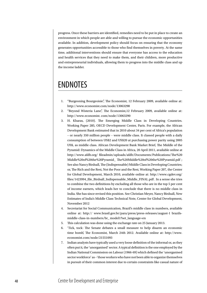progress. Once these barriers are identified, remedies need to be put in place to create an environment in which people are able and willing to pursue the economic opportunities available. In addition, development policy should focus on ensuring that the economy generates opportunities accessible to those who find themselves in poverty. At the same time, additional interventions should ensure that everyone has access to the education and health services that they need to make them, and their children, more productive and entrepreneurial individuals, allowing them to progress into the middle class and up the income ladder.

# ENDNOTES

- 1. "Burgeoning Bourgeoisie", The Economist, 12 February 2009, available online at: http://www.economist.com/node/13063298
- 2. "Beyond Wisteria Lane", The Economist,12 February 2009, available online at: http://www.economist. com/node/13063290
- 3. H. Kharas, (2010). The Emerging Middle Class in Developing Countries. Working Paper 285, OECD Development Center, Paris. For example, the African Development Bank estimated that in 2010 about 34 per cent of Africa's population – or nearly 350 million people – were middle class. It classed people with a daily consumption of between US\$2 and US\$20 at purchasing power parity using 2005 US\$, as middle class. African Development Bank Market Brief, The Middle of the Pyramid: Dynamics of the Middle Class in Africa, 20 April 2011, available online at http://www.afdb.org/ fileadmin/uploads/afdb/Documents/Publications/The%20 Middle%20of%20the%20Pyramid\_ The%20Middle%20of%20the%20Pyramid.pdf ; See also Nancy Birdsall, The (Indispensable) Middle Class in Developing Countries; or, The Rich and the Rest, Not the Poor and the Rest, Working Paper 207, the Center for Global Development, March 2010, available online at: http://www.cgdev.org/ files/1423994\_file\_Birdsall\_Indispensable\_Middle\_FINAL.pdf . In a sense she tries to combine the two definitions by excluding all those who are in the top 5 per cent of income earners, which leads her to conclude that there is no middle class in India. She has since revised this position. See Christian Meyer, Nancy Birdsall, New Estimates of India's Middle Class Technical Note, Center for Global Development, November 2012
- 4. Secretariat for Social Communication, Brazil's middle class in numbers, available online at: http:// www.brasil.gov.br/para/press/press-releases/august-1 brazilsmiddle-class-in-numbers/br\_ model1?set\_language=en
- 5. This calculation was done using the exchange rate on 25 January 2013.
- 6. 'Tick, tock: The Senate debates a small measure to help disarm an economic time bomb', The Economist, March 24th 2012. Available online at: http://www. economist.com/node/21551093
- 7. Indian analysts have typically used a very loose definition of the informal or, as they often put it, the 'unorganised' sector. A typical definition is the one employed by the Indian National Commission on Labour (1966-69) which defined the 'unorganised sector workforce' as –'those workers who have not been able to organize themselves in pursuit of their common interest due to certain constraints like casual nature of

# 48 Centre for Development and Enterprise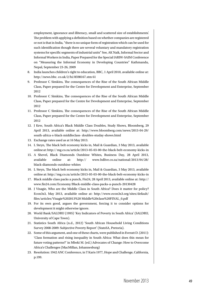employment, ignorance and illiteracy, small and scattered size of establishments'. The problem with applying a definition based on whether companies are registered or not is that in India, "there is no unique form of registration which can be used for such identification though there are several voluntary and mandatory registration systems for specific segments of industrial units" See, AK Naik, Informal Sector and Informal Workers in India, Paper Prepared for the Special IARIW-SAIM Conference on "Measuring the Informal Economy in Developing Countries" Kathmandu, Nepal, September 23-26, 2009

- 8. India launches children's right to education, BBC, 1 April 2010, available online at: http://news.bbc. co.uk/2/hi/8598167.stm 61
- 9. Professor C Simkins, The consequences of the Rise of the South African Middle Class, Paper prepared for the Centre for Development and Enterprise, September 2012
- 10. Professor C Simkins, The consequences of the Rise of the South African Middle Class, Paper prepared for the Centre for Development and Enterprise, September 2012
- 11. Professor C Simkins, The consequences of the Rise of the South African Middle Class, Paper prepared for the Centre for Development and Enterprise, September 2012
- 12. J Kew, South Africa's Black Middle Class Doubles, Study Shows, Bloomberg, 29 April 2013, available online at: http://www.bloomberg.com/news/2013-04-29/ south-africa-s-black-middleclass- doubles-studay-shows.html
- 13. Exchange rates used as at 16 May 2013.
- 14. L Steyn, The black belt economy kicks in, Mail & Guardian, 3 May 2013, available online at: http:// mg.co.za/article/2013-05-03-00-the-black-belt-economy-kicks-in
- 15. A Shevel, Black Diamonds Outshine Whites, Business Day, 28 April 2013, available online at: http:// www.bdlive.co.za/national/2013/04/28/ black-diamonds-outshine-whites
- 16. L Steyn, The black belt economy kicks in, Mail & Guardian, 3 May 2013, available online at: http://mg.co.za/article/2013-05-03-00-the-black-belt-economy-kicks-in
- 17. Black middle class packs a punch, Fin24, 28 April 2013, available online at: http:// www.fin24.com/Economy/Black-middle-class-packs-a-punch-20130428
- 18. J Visagie, Who are the Middle Class in South Africa? Does it matter for policy? Econ3x3, May 2013, available online at: http://www.econ3x3.org/sites/default/ files/articles/Visagie%202013%20 Middle%20class%20FINAL\_0.pdf
- 19. For its own good, argues the government, forcing it to consider options for development it might otherwise ignore.
- 20. World Bank/SALDRU (1995) 'Key Indicators of Poverty in South Africa' (SALDRU, University of Cape Town).
- 21. Statistics South Africa (n.d., 2012) 'South African Household Living Conditions Survey 2008-2009: Subjective Poverty Report' (StatsSA, Pretoria).
- 22. Some of this argument, and one of these charts, were published in Everatt D. (2011): 'Class formation and rising inequality in South Africa: What does this mean for future voting patterns?' in Mbeki M. (ed.) Advocates of Change: How to Overcome Africa's Challenges (MacMillan, Johannesburg)
- 23. Resolution: 1942 ANC Conference, in T Karis 1977, Hope and Challenge, California, p.199.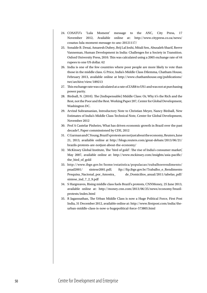- 24. COSATU's 'Lula Moment' message to the ANC, City Press, 17 November 2012, Available online at: http://www.citypress.co.za/news/ cosatus-lula-moment-message-to-anc-20121117/
- 25. Sonalde B. Desai, Amaresh Dubey, Brij Lal Joshi, Mitali Sen, Abusaleh Sharif, Reeve Vanneman, Human Development in India: Challenges for a Society in Transition. Oxford University Press, 2010. This was calculated using a 2005 exchange rate of 44 rupees to one US dollar. 62
- 26. India is one of the few countries where poor people are more likely to vote than those in the middle class. G Price, India's Middle Class Dilemma, Chatham House, February 2013, available online at http://www.chathamhouse.org/publications/ twt/archive/view/189213
- 27. This exchange rate was calculated at a rate of ZAR8 to US1 and was not at purchasing power parity.
- 28. Birdsall, N. (2010). The (Indispensable) Middle Class: Or, Why it's the Rich and the Rest, not the Poor and the Rest. Working Paper 207, Center for Global Development, Washington DC.
- 29. Arvind Subramanian, Introductory Note to Christian Meyer, Nancy Birdsall, New Estimates of India's Middle Class Technical Note, Center for Global Development, November 2012
- 30. Prof A Castelar Pinheiro, What has driven economic growth in Brazil over the past decade?, Paper commissioned by CDE, 2012
- 31. C Garman and C Young, Brazil's protests are not just about the economy, Reuters, June 21, 2013, available online at http://blogs.reuters.com/great-debate/2013/06/21/ brazils-protests-are-notjust-about-the-economy/
- 32. McKinsey Global Institute, The 'bird of gold': The rise of India's consumer market', May 2007, available online at: http://www.mckinsey.com/insights/asia-pacific/ the\_bird\_of\_gold
- 33. http://www.ibge.gov.br/home/estatistica/populacao/trabalhoerendimento/ pnad2001/ sintese2001.pdf; ftp://ftp.ibge.gov.br/Trabalho\_e\_Rendimento Pesquisa\_Nacional\_por\_Amostra\_ de\_Domicilios\_anual/2011/tabelas\_pdf/ sintese\_ind\_7\_2\_9.pdf
- 34. S Hargreaves, Rising middle class fuels Brazil's protests, CNNMoney, 25 June 2013, available online at: http://money.cnn.com/2013/06/25/news/economy/brazilprotests/index.html
- 35. R Jagannathan, The Urban Middle Class is now a Huge Political Force, First Post India, 31 December 2012, available online at: http://www.firstpost.com/india/theurban-middle-class-is-now-a-hugepolitical-force-573805.html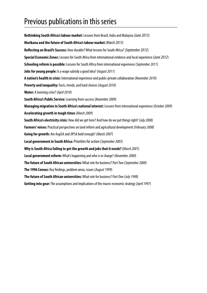# Previous publications in this series

**Rethinking South Africa's labour market:** Lessons from Brazil, India and Malaysia(*June 2013*) **Marikana and the future of South Africa's labour market** (*March 2013*) **Reflecting on Brazil's Success:** How durable? What lessons for South Africa? (*September 2012*) **Special Economic Zones:** Lessons for South Africa from international evidence and local experience (*June 2012*) **Schooling reform is possible:** Lessons for South Africa from international experience (*September 2011*) **Jobs for young people:** Is a wage subsidy a good idea? (*August 2011*) **A nation's health in crisis:** International experience and public-private collaboration (*November 2010*) **Poverty and inequality:** Facts, trends, and hard choices (*August 2010*) **Water:** A looming crisis? (*April 2010*) **South Africa's Public Service:** Learning from success (*November 2009*) **Managing migration in South Africa's national interest:** Lessons from international experience (*October 2009*) **Accelerating growth in tough times** (*March 2009*) **South Africa's electricity crisis:** How did we get here? And how do we put things right? (*July 2008*) **Farmers' voices:** Practical perspectives on land reform and agricultural development (*February 2008*) **Going for growth:** Are AsgiSA and JIPSA bold enough? (*March 2007*) **Local government in South Africa:** Priorities for action (*September 2003*) **Why is South Africa failing to get the growth and jobs that it needs?**(*March 2001*) **Local government reform:** What's happening and who is in charge? (*November 2000*) **The future of South African universities:** What role for business? Part Two (*September 2000*) **The 1996 Census:** Key findings, problem areas, issues (*August 1999*) **The future of South African universities:** What role for business? Part One (*July 1998*) **Getting into gear:** The assumptions and implications of the macro-economic strategy (*April 1997*)